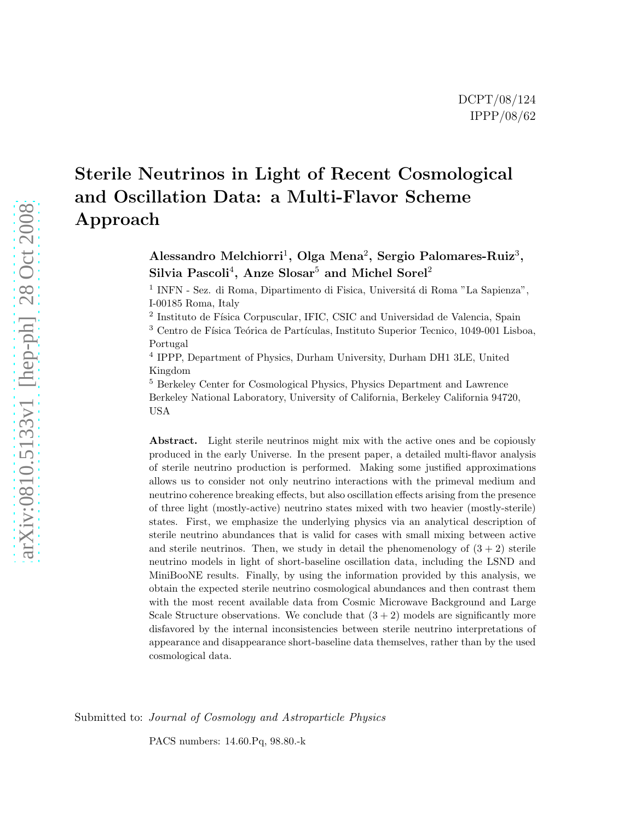# Sterile Neutrinos in Light of Recent Cosmological and Oscillation Data: a Multi-Flavor Scheme Approach

Alessandro Melchiorri<sup>1</sup>, Olga Mena<sup>2</sup>, Sergio Palomares-Ruiz<sup>3</sup>, Silvia Pascoli<sup>4</sup>, Anze Slosar $^5$  and Michel Sorel<sup>2</sup>

<sup>1</sup> INFN - Sez. di Roma, Dipartimento di Fisica, Universitá di Roma "La Sapienza", I-00185 Roma, Italy

<sup>2</sup> Instituto de Física Corpuscular, IFIC, CSIC and Universidad de Valencia, Spain  $^3$  Centro de Física Teórica de Partículas, Instituto Superior Tecnico, 1049-001 Lisboa, Portugal

4 IPPP, Department of Physics, Durham University, Durham DH1 3LE, United Kingdom

<sup>5</sup> Berkeley Center for Cosmological Physics, Physics Department and Lawrence Berkeley National Laboratory, University of California, Berkeley California 94720, USA

Abstract. Light sterile neutrinos might mix with the active ones and be copiously produced in the early Universe. In the present paper, a detailed multi-flavor analysis of sterile neutrino production is performed. Making some justified approximations allows us to consider not only neutrino interactions with the primeval medium and neutrino coherence breaking effects, but also oscillation effects arising from the presence of three light (mostly-active) neutrino states mixed with two heavier (mostly-sterile) states. First, we emphasize the underlying physics via an analytical description of sterile neutrino abundances that is valid for cases with small mixing between active and sterile neutrinos. Then, we study in detail the phenomenology of  $(3 + 2)$  sterile neutrino models in light of short-baseline oscillation data, including the LSND and MiniBooNE results. Finally, by using the information provided by this analysis, we obtain the expected sterile neutrino cosmological abundances and then contrast them with the most recent available data from Cosmic Microwave Background and Large Scale Structure observations. We conclude that  $(3 + 2)$  models are significantly more disfavored by the internal inconsistencies between sterile neutrino interpretations of appearance and disappearance short-baseline data themselves, rather than by the used cosmological data.

Submitted to: Journal of Cosmology and Astroparticle Physics

PACS numbers: 14.60.Pq, 98.80.-k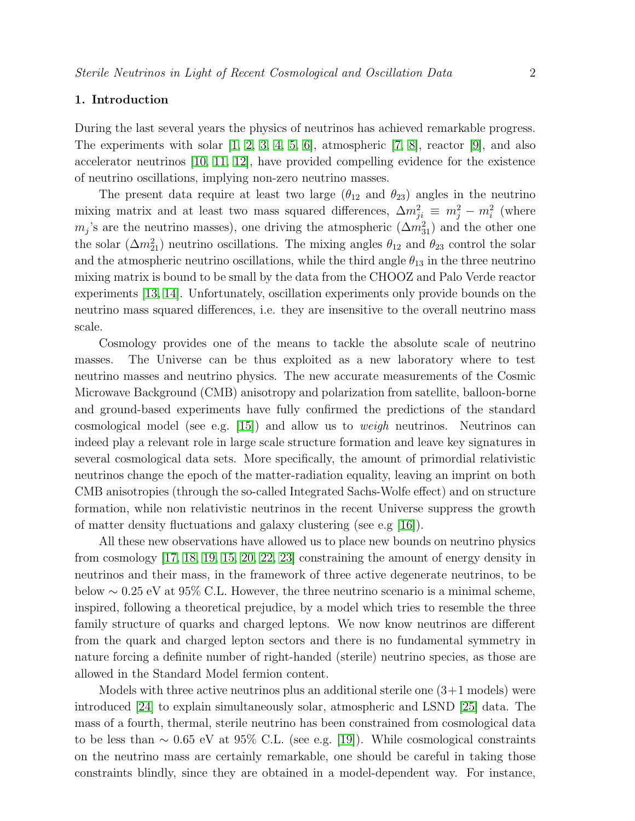## 1. Introduction

During the last several years the physics of neutrinos has achieved remarkable progress. The experiments with solar  $[1, 2, 3, 4, 5, 6]$  $[1, 2, 3, 4, 5, 6]$  $[1, 2, 3, 4, 5, 6]$  $[1, 2, 3, 4, 5, 6]$  $[1, 2, 3, 4, 5, 6]$  $[1, 2, 3, 4, 5, 6]$ , atmospheric  $[7, 8]$  $[7, 8]$ , reactor  $[9]$ , and also accelerator neutrinos [\[10,](#page-23-5) [11,](#page-23-6) [12\]](#page-23-7), have provided compelling evidence for the existence of neutrino oscillations, implying non-zero neutrino masses.

The present data require at least two large  $(\theta_{12}$  and  $\theta_{23})$  angles in the neutrino mixing matrix and at least two mass squared differences,  $\Delta m_{ji}^2 \equiv m_j^2 - m_i^2$  (where  $m_j$ 's are the neutrino masses), one driving the atmospheric  $(\Delta m_{31}^2)$  and the other one the solar  $(\Delta m_{21}^2)$  neutrino oscillations. The mixing angles  $\theta_{12}$  and  $\theta_{23}$  control the solar and the atmospheric neutrino oscillations, while the third angle  $\theta_{13}$  in the three neutrino mixing matrix is bound to be small by the data from the CHOOZ and Palo Verde reactor experiments [\[13,](#page-23-8) [14\]](#page-23-9). Unfortunately, oscillation experiments only provide bounds on the neutrino mass squared differences, i.e. they are insensitive to the overall neutrino mass scale.

Cosmology provides one of the means to tackle the absolute scale of neutrino masses. The Universe can be thus exploited as a new laboratory where to test neutrino masses and neutrino physics. The new accurate measurements of the Cosmic Microwave Background (CMB) anisotropy and polarization from satellite, balloon-borne and ground-based experiments have fully confirmed the predictions of the standard cosmological model (see e.g.  $[15]$ ) and allow us to *weigh* neutrinos. Neutrinos can indeed play a relevant role in large scale structure formation and leave key signatures in several cosmological data sets. More specifically, the amount of primordial relativistic neutrinos change the epoch of the matter-radiation equality, leaving an imprint on both CMB anisotropies (through the so-called Integrated Sachs-Wolfe effect) and on structure formation, while non relativistic neutrinos in the recent Universe suppress the growth of matter density fluctuations and galaxy clustering (see e.g [\[16\]](#page-23-11)).

All these new observations have allowed us to place new bounds on neutrino physics from cosmology [\[17,](#page-23-12) [18,](#page-24-0) [19,](#page-24-1) [15,](#page-23-10) [20,](#page-24-2) [22,](#page-24-3) [23\]](#page-24-4) constraining the amount of energy density in neutrinos and their mass, in the framework of three active degenerate neutrinos, to be below  $\sim 0.25$  eV at 95% C.L. However, the three neutrino scenario is a minimal scheme, inspired, following a theoretical prejudice, by a model which tries to resemble the three family structure of quarks and charged leptons. We now know neutrinos are different from the quark and charged lepton sectors and there is no fundamental symmetry in nature forcing a definite number of right-handed (sterile) neutrino species, as those are allowed in the Standard Model fermion content.

Models with three active neutrinos plus an additional sterile one  $(3+1 \text{ models})$  were introduced [\[24\]](#page-24-5) to explain simultaneously solar, atmospheric and LSND [\[25\]](#page-25-0) data. The mass of a fourth, thermal, sterile neutrino has been constrained from cosmological data to be less than  $\sim 0.65$  eV at 95% C.L. (see e.g. [\[19\]](#page-24-1)). While cosmological constraints on the neutrino mass are certainly remarkable, one should be careful in taking those constraints blindly, since they are obtained in a model-dependent way. For instance,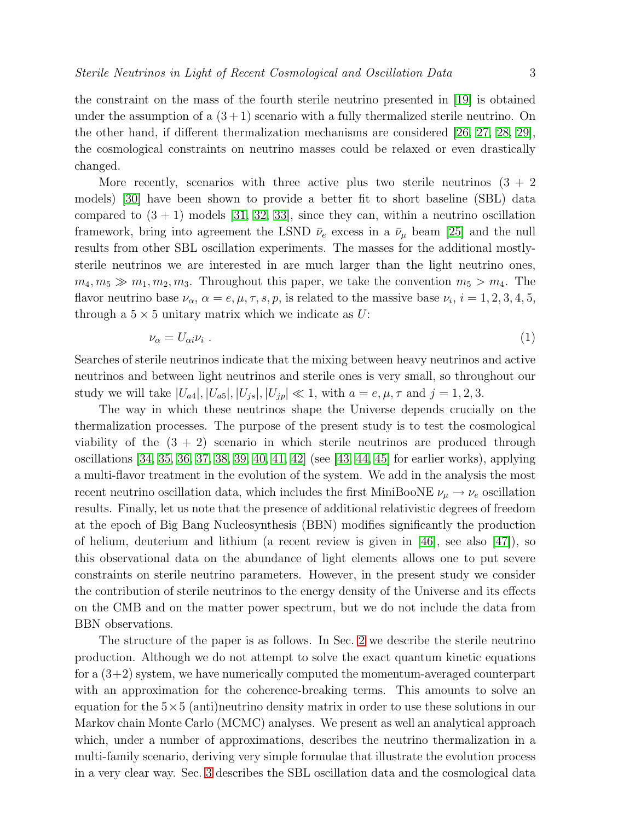the constraint on the mass of the fourth sterile neutrino presented in [\[19\]](#page-24-1) is obtained under the assumption of a  $(3+1)$  scenario with a fully thermalized sterile neutrino. On the other hand, if different thermalization mechanisms are considered [\[26,](#page-25-1) [27,](#page-25-2) [28,](#page-25-3) [29\]](#page-25-4), the cosmological constraints on neutrino masses could be relaxed or even drastically changed.

More recently, scenarios with three active plus two sterile neutrinos  $(3 + 2)$ models) [\[30\]](#page-25-5) have been shown to provide a better fit to short baseline (SBL) data compared to  $(3 + 1)$  models [\[31,](#page-25-6) [32,](#page-25-7) [33\]](#page-25-8), since they can, within a neutrino oscillation framework, bring into agreement the LSND  $\bar{\nu}_e$  excess in a  $\bar{\nu}_\mu$  beam [\[25\]](#page-25-0) and the null results from other SBL oscillation experiments. The masses for the additional mostlysterile neutrinos we are interested in are much larger than the light neutrino ones,  $m_4, m_5 \gg m_1, m_2, m_3$ . Throughout this paper, we take the convention  $m_5 > m_4$ . The flavor neutrino base  $\nu_{\alpha}$ ,  $\alpha = e, \mu, \tau, s, p$ , is related to the massive base  $\nu_i$ ,  $i = 1, 2, 3, 4, 5$ , through a  $5 \times 5$  unitary matrix which we indicate as U:

<span id="page-2-0"></span>
$$
\nu_{\alpha} = U_{\alpha i} \nu_i \tag{1}
$$

Searches of sterile neutrinos indicate that the mixing between heavy neutrinos and active neutrinos and between light neutrinos and sterile ones is very small, so throughout our study we will take  $|U_{a4}|, |U_{a5}|, |U_{jb}|, |U_{jp}| \ll 1$ , with  $a = e, \mu, \tau$  and  $j = 1, 2, 3$ .

The way in which these neutrinos shape the Universe depends crucially on the thermalization processes. The purpose of the present study is to test the cosmological viability of the  $(3 + 2)$  scenario in which sterile neutrinos are produced through oscillations [\[34,](#page-25-9) [35,](#page-25-10) [36,](#page-25-11) [37,](#page-25-12) [38,](#page-25-13) [39,](#page-25-14) [40,](#page-25-15) [41,](#page-25-16) [42\]](#page-25-17) (see [\[43,](#page-25-18) [44,](#page-25-19) [45\]](#page-25-20) for earlier works), applying a multi-flavor treatment in the evolution of the system. We add in the analysis the most recent neutrino oscillation data, which includes the first MiniBooNE  $\nu_{\mu} \rightarrow \nu_{e}$  oscillation results. Finally, let us note that the presence of additional relativistic degrees of freedom at the epoch of Big Bang Nucleosynthesis (BBN) modifies significantly the production of helium, deuterium and lithium (a recent review is given in [\[46\]](#page-25-21), see also [\[47\]](#page-26-0)), so this observational data on the abundance of light elements allows one to put severe constraints on sterile neutrino parameters. However, in the present study we consider the contribution of sterile neutrinos to the energy density of the Universe and its effects on the CMB and on the matter power spectrum, but we do not include the data from BBN observations.

The structure of the paper is as follows. In Sec. [2](#page-3-0) we describe the sterile neutrino production. Although we do not attempt to solve the exact quantum kinetic equations for a  $(3+2)$  system, we have numerically computed the momentum-averaged counterpart with an approximation for the coherence-breaking terms. This amounts to solve an equation for the  $5\times 5$  (anti)neutrino density matrix in order to use these solutions in our Markov chain Monte Carlo (MCMC) analyses. We present as well an analytical approach which, under a number of approximations, describes the neutrino thermalization in a multi-family scenario, deriving very simple formulae that illustrate the evolution process in a very clear way. Sec. [3](#page-10-0) describes the SBL oscillation data and the cosmological data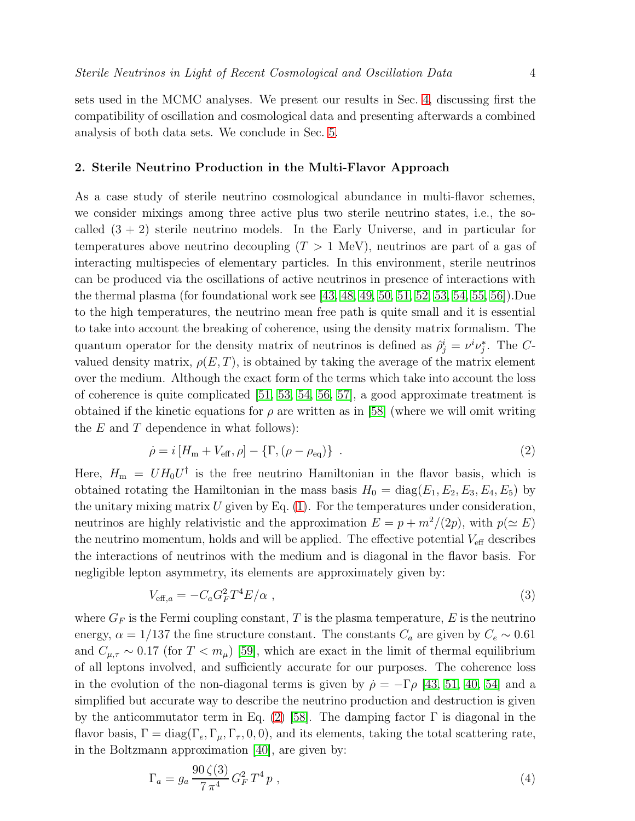sets used in the MCMC analyses. We present our results in Sec. [4,](#page-15-0) discussing first the compatibility of oscillation and cosmological data and presenting afterwards a combined analysis of both data sets. We conclude in Sec. [5.](#page-20-0)

## <span id="page-3-0"></span>2. Sterile Neutrino Production in the Multi-Flavor Approach

As a case study of sterile neutrino cosmological abundance in multi-flavor schemes, we consider mixings among three active plus two sterile neutrino states, i.e., the socalled  $(3 + 2)$  sterile neutrino models. In the Early Universe, and in particular for temperatures above neutrino decoupling  $(T > 1 \text{ MeV})$ , neutrinos are part of a gas of interacting multispecies of elementary particles. In this environment, sterile neutrinos can be produced via the oscillations of active neutrinos in presence of interactions with the thermal plasma (for foundational work see [\[43,](#page-25-18) [48,](#page-26-1) [49,](#page-26-2) [50,](#page-26-3) [51,](#page-26-4) [52,](#page-26-5) [53,](#page-26-6) [54,](#page-26-7) [55,](#page-26-8) [56\]](#page-26-9)).Due to the high temperatures, the neutrino mean free path is quite small and it is essential to take into account the breaking of coherence, using the density matrix formalism. The quantum operator for the density matrix of neutrinos is defined as  $\hat{\rho}_j^i = \nu^i \nu_j^*$ . The Cvalued density matrix,  $\rho(E,T)$ , is obtained by taking the average of the matrix element over the medium. Although the exact form of the terms which take into account the loss of coherence is quite complicated [\[51,](#page-26-4) [53,](#page-26-6) [54,](#page-26-7) [56,](#page-26-9) [57\]](#page-26-10), a good approximate treatment is obtained if the kinetic equations for  $\rho$  are written as in [\[58\]](#page-26-11) (where we will omit writing the  $E$  and  $T$  dependence in what follows):

<span id="page-3-1"></span>
$$
\dot{\rho} = i \left[ H_{\rm m} + V_{\rm eff}, \rho \right] - \left\{ \Gamma, \left( \rho - \rho_{\rm eq} \right) \right\} \tag{2}
$$

Here,  $H_{\rm m} = U H_0 U^{\dagger}$  is the free neutrino Hamiltonian in the flavor basis, which is obtained rotating the Hamiltonian in the mass basis  $H_0 = diag(E_1, E_2, E_3, E_4, E_5)$  by the unitary mixing matrix  $U$  given by Eq.  $(1)$ . For the temperatures under consideration, neutrinos are highly relativistic and the approximation  $E = p + m^2/(2p)$ , with  $p(\simeq E)$ the neutrino momentum, holds and will be applied. The effective potential  $V_{\text{eff}}$  describes the interactions of neutrinos with the medium and is diagonal in the flavor basis. For negligible lepton asymmetry, its elements are approximately given by:

<span id="page-3-2"></span>
$$
V_{\text{eff},a} = -C_a G_F^2 T^4 E/\alpha \tag{3}
$$

where  $G_F$  is the Fermi coupling constant, T is the plasma temperature, E is the neutrino energy,  $\alpha = 1/137$  the fine structure constant. The constants  $C_a$  are given by  $C_e \sim 0.61$ and  $C_{\mu,\tau} \sim 0.17$  (for  $T < m_{\mu}$ ) [\[59\]](#page-26-12), which are exact in the limit of thermal equilibrium of all leptons involved, and sufficiently accurate for our purposes. The coherence loss in the evolution of the non-diagonal terms is given by  $\dot{\rho} = -\Gamma \rho$  [\[43,](#page-25-18) [51,](#page-26-4) [40,](#page-25-15) [54\]](#page-26-7) and a simplified but accurate way to describe the neutrino production and destruction is given by the anticommutator term in Eq. [\(2\)](#page-3-1) [\[58\]](#page-26-11). The damping factor  $\Gamma$  is diagonal in the flavor basis,  $\Gamma = \text{diag}(\Gamma_e, \Gamma_\mu, \Gamma_\tau, 0, 0)$ , and its elements, taking the total scattering rate, in the Boltzmann approximation [\[40\]](#page-25-15), are given by:

$$
\Gamma_a = g_a \frac{90 \zeta(3)}{7 \pi^4} G_F^2 T^4 p \;, \tag{4}
$$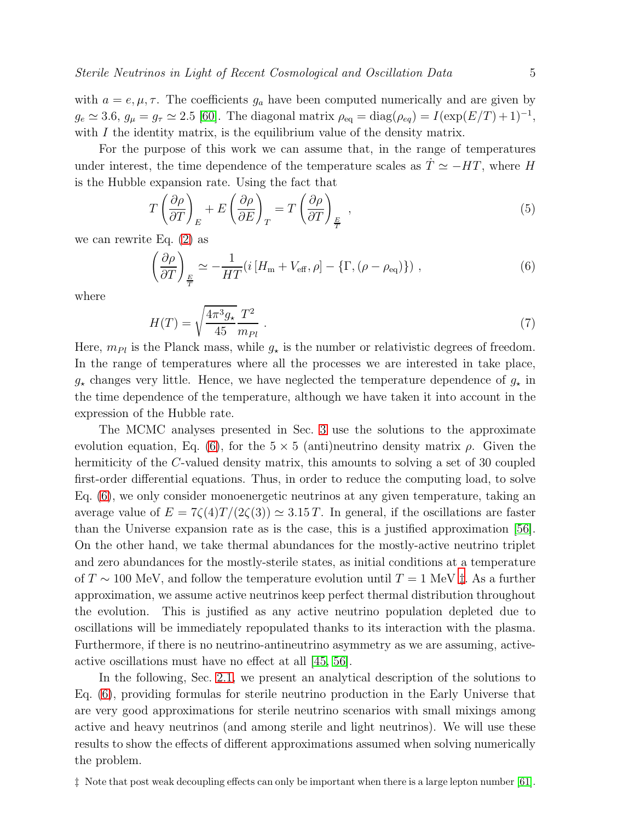with  $a = e, \mu, \tau$ . The coefficients  $g_a$  have been computed numerically and are given by  $g_e \simeq 3.6, g_{\mu} = g_{\tau} \simeq 2.5$  [\[60\]](#page-26-13). The diagonal matrix  $\rho_{\text{eq}} = \text{diag}(\rho_{eq}) = I(\exp(E/T) + 1)^{-1}$ , with  $I$  the identity matrix, is the equilibrium value of the density matrix.

For the purpose of this work we can assume that, in the range of temperatures under interest, the time dependence of the temperature scales as  $\dot{T} \simeq -HT$ , where H is the Hubble expansion rate. Using the fact that

<span id="page-4-2"></span>
$$
T\left(\frac{\partial\rho}{\partial T}\right)_E + E\left(\frac{\partial\rho}{\partial E}\right)_T = T\left(\frac{\partial\rho}{\partial T}\right)_E,
$$
\n(5)

we can rewrite Eq. [\(2\)](#page-3-1) as

<span id="page-4-0"></span>
$$
\left(\frac{\partial \rho}{\partial T}\right)_{\frac{E}{T}} \simeq -\frac{1}{HT}\left(i\left[H_{\rm m} + V_{\rm eff}, \rho\right] - \left\{\Gamma, \left(\rho - \rho_{\rm eq}\right)\right\}\right),\tag{6}
$$

where

$$
H(T) = \sqrt{\frac{4\pi^3 g_\star}{45}} \frac{T^2}{m_{Pl}} \tag{7}
$$

Here,  $m_{Pl}$  is the Planck mass, while  $g_{\star}$  is the number or relativistic degrees of freedom. In the range of temperatures where all the processes we are interested in take place,  $g_{\star}$  changes very little. Hence, we have neglected the temperature dependence of  $g_{\star}$  in the time dependence of the temperature, although we have taken it into account in the expression of the Hubble rate.

The MCMC analyses presented in Sec. [3](#page-10-0) use the solutions to the approximate evolution equation, Eq. [\(6\)](#page-4-0), for the  $5 \times 5$  (anti)neutrino density matrix  $\rho$ . Given the hermiticity of the C-valued density matrix, this amounts to solving a set of 30 coupled first-order differential equations. Thus, in order to reduce the computing load, to solve Eq. [\(6\)](#page-4-0), we only consider monoenergetic neutrinos at any given temperature, taking an average value of  $E = 7\zeta(4)T/(2\zeta(3)) \approx 3.15 T$ . In general, if the oscillations are faster than the Universe expansion rate as is the case, this is a justified approximation [\[56\]](#page-26-9). On the other hand, we take thermal abundances for the mostly-active neutrino triplet and zero abundances for the mostly-sterile states, as initial conditions at a temperature of  $T \sim 100$  MeV, and follow the temperature evolution until  $T = 1$  MeV  $\ddagger$ . As a further approximation, we assume active neutrinos keep perfect thermal distribution throughout the evolution. This is justified as any active neutrino population depleted due to oscillations will be immediately repopulated thanks to its interaction with the plasma. Furthermore, if there is no neutrino-antineutrino asymmetry as we are assuming, activeactive oscillations must have no effect at all [\[45,](#page-25-20) [56\]](#page-26-9).

In the following, Sec. [2.1,](#page-5-0) we present an analytical description of the solutions to Eq. [\(6\)](#page-4-0), providing formulas for sterile neutrino production in the Early Universe that are very good approximations for sterile neutrino scenarios with small mixings among active and heavy neutrinos (and among sterile and light neutrinos). We will use these results to show the effects of different approximations assumed when solving numerically the problem.

<span id="page-4-1"></span>‡ Note that post weak decoupling effects can only be important when there is a large lepton number [\[61\]](#page-26-14).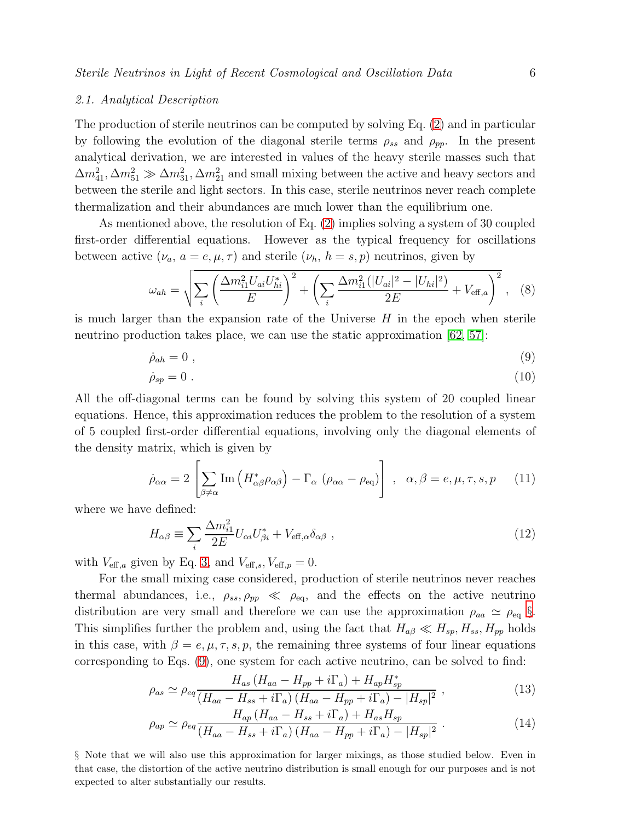## <span id="page-5-0"></span>2.1. Analytical Description

The production of sterile neutrinos can be computed by solving Eq. [\(2\)](#page-3-1) and in particular by following the evolution of the diagonal sterile terms  $\rho_{ss}$  and  $\rho_{pp}$ . In the present analytical derivation, we are interested in values of the heavy sterile masses such that  $\Delta m_{41}^2, \Delta m_{51}^2 \gg \Delta m_{31}^2, \Delta m_{21}^2$  and small mixing between the active and heavy sectors and between the sterile and light sectors. In this case, sterile neutrinos never reach complete thermalization and their abundances are much lower than the equilibrium one.

As mentioned above, the resolution of Eq. [\(2\)](#page-3-1) implies solving a system of 30 coupled first-order differential equations. However as the typical frequency for oscillations between active  $(\nu_a, a = e, \mu, \tau)$  and sterile  $(\nu_h, h = s, p)$  neutrinos, given by

$$
\omega_{ah} = \sqrt{\sum_{i} \left( \frac{\Delta m_{i1}^2 U_{ai} U_{hi}^*}{E} \right)^2 + \left( \sum_{i} \frac{\Delta m_{i1}^2 (|U_{ai}|^2 - |U_{hi}|^2)}{2E} + V_{\text{eff},a} \right)^2}, \quad (8)
$$

is much larger than the expansion rate of the Universe  $H$  in the epoch when sterile neutrino production takes place, we can use the static approximation [\[62,](#page-26-15) [57\]](#page-26-10):

<span id="page-5-2"></span>
$$
\dot{\rho}_{ah} = 0 \tag{9}
$$

$$
\dot{\rho}_{sp} = 0 \tag{10}
$$

All the off-diagonal terms can be found by solving this system of 20 coupled linear equations. Hence, this approximation reduces the problem to the resolution of a system of 5 coupled first-order differential equations, involving only the diagonal elements of the density matrix, which is given by

$$
\dot{\rho}_{\alpha\alpha} = 2 \left[ \sum_{\beta \neq \alpha} \text{Im} \left( H_{\alpha\beta}^* \rho_{\alpha\beta} \right) - \Gamma_{\alpha} \left( \rho_{\alpha\alpha} - \rho_{\text{eq}} \right) \right], \quad \alpha, \beta = e, \mu, \tau, s, p \qquad (11)
$$

where we have defined:

$$
H_{\alpha\beta} \equiv \sum_{i} \frac{\Delta m_{i1}^2}{2E} U_{\alpha i} U_{\beta i}^* + V_{\text{eff},\alpha} \delta_{\alpha\beta} , \qquad (12)
$$

with  $V_{\text{eff},a}$  given by Eq. [3,](#page-3-2) and  $V_{\text{eff},s}$ ,  $V_{\text{eff},p} = 0$ .

For the small mixing case considered, production of sterile neutrinos never reaches thermal abundances, i.e.,  $\rho_{ss}, \rho_{pp} \ll \rho_{eq}$ , and the effects on the active neutrino distribution are very small and therefore we can use the approximation  $\rho_{aa} \simeq \rho_{eq} \S$ . This simplifies further the problem and, using the fact that  $H_{a\beta} \ll H_{sp}$ ,  $H_{ss}$ ,  $H_{pp}$  holds in this case, with  $\beta = e, \mu, \tau, s, p$ , the remaining three systems of four linear equations corresponding to Eqs. [\(9\)](#page-5-2), one system for each active neutrino, can be solved to find:

<span id="page-5-3"></span>
$$
\rho_{as} \simeq \rho_{eq} \frac{H_{as} \left(H_{aa} - H_{pp} + i\Gamma_a\right) + H_{ap} H_{sp}^*}{\left(H_{aa} - H_{ss} + i\Gamma_a\right) \left(H_{aa} - H_{pp} + i\Gamma_a\right) - |H_{sp}|^2} \,,\tag{13}
$$

$$
\rho_{ap} \simeq \rho_{eq} \frac{H_{ap} \left( H_{aa} - H_{ss} + i\Gamma_a \right) + H_{as} H_{sp}}{(H_{aa} - H_{ss} + i\Gamma_a) \left( H_{aa} - H_{pp} + i\Gamma_a \right) - |H_{sp}|^2} \,. \tag{14}
$$

<span id="page-5-1"></span>§ Note that we will also use this approximation for larger mixings, as those studied below. Even in that case, the distortion of the active neutrino distribution is small enough for our purposes and is not expected to alter substantially our results.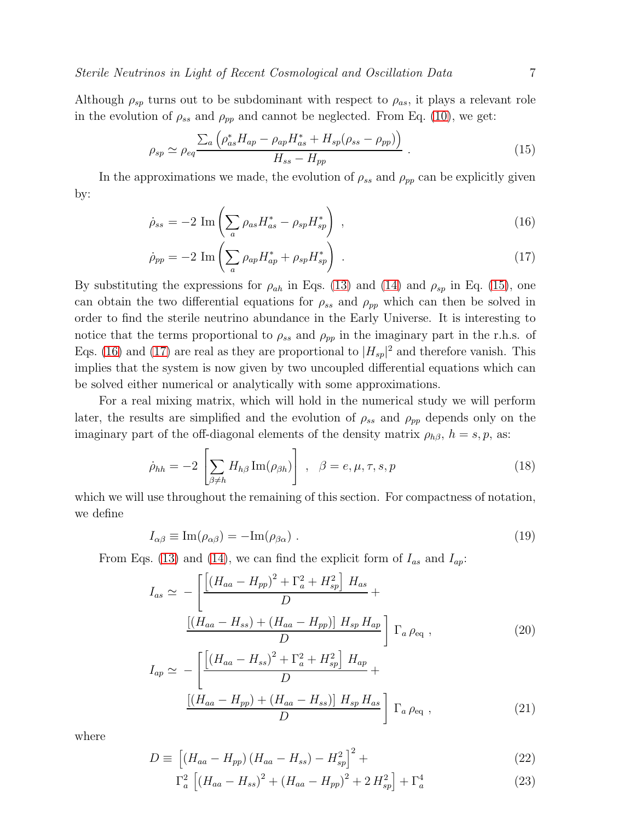Although  $\rho_{sp}$  turns out to be subdominant with respect to  $\rho_{as}$ , it plays a relevant role in the evolution of  $\rho_{ss}$  and  $\rho_{pp}$  and cannot be neglected. From Eq. [\(10\)](#page-5-2), we get:

<span id="page-6-0"></span>
$$
\rho_{sp} \simeq \rho_{eq} \frac{\sum_{a} \left( \rho_{as}^{*} H_{ap} - \rho_{ap} H_{as}^{*} + H_{sp} (\rho_{ss} - \rho_{pp}) \right)}{H_{ss} - H_{pp}} \,. \tag{15}
$$

In the approximations we made, the evolution of  $\rho_{ss}$  and  $\rho_{pp}$  can be explicitly given by:

<span id="page-6-1"></span>
$$
\dot{\rho}_{ss} = -2 \operatorname{Im} \left( \sum_{a} \rho_{as} H_{as}^* - \rho_{sp} H_{sp}^* \right) , \qquad (16)
$$

$$
\dot{\rho}_{pp} = -2 \operatorname{Im} \left( \sum_{a} \rho_{ap} H_{ap}^* + \rho_{sp} H_{sp}^* \right) \tag{17}
$$

By substituting the expressions for  $\rho_{ah}$  in Eqs. [\(13\)](#page-5-3) and [\(14\)](#page-5-3) and  $\rho_{sp}$  in Eq. [\(15\)](#page-6-0), one can obtain the two differential equations for  $\rho_{ss}$  and  $\rho_{pp}$  which can then be solved in order to find the sterile neutrino abundance in the Early Universe. It is interesting to notice that the terms proportional to  $\rho_{ss}$  and  $\rho_{pp}$  in the imaginary part in the r.h.s. of Eqs. [\(16\)](#page-6-1) and [\(17\)](#page-6-1) are real as they are proportional to  $|H_{sp}|^2$  and therefore vanish. This implies that the system is now given by two uncoupled differential equations which can be solved either numerical or analytically with some approximations.

For a real mixing matrix, which will hold in the numerical study we will perform later, the results are simplified and the evolution of  $\rho_{ss}$  and  $\rho_{pp}$  depends only on the imaginary part of the off-diagonal elements of the density matrix  $\rho_{h\beta}$ ,  $h = s, p$ , as:

<span id="page-6-2"></span>
$$
\dot{\rho}_{hh} = -2 \left[ \sum_{\beta \neq h} H_{h\beta} \operatorname{Im}(\rho_{\beta h}) \right], \quad \beta = e, \mu, \tau, s, p \tag{18}
$$

which we will use throughout the remaining of this section. For compactness of notation, we define

$$
I_{\alpha\beta} \equiv \text{Im}(\rho_{\alpha\beta}) = -\text{Im}(\rho_{\beta\alpha}) \tag{19}
$$

From Eqs. [\(13\)](#page-5-3) and [\(14\)](#page-5-3), we can find the explicit form of  $I_{as}$  and  $I_{ap}$ :

<span id="page-6-3"></span>
$$
I_{as} \simeq -\left[ \frac{\left[ (H_{aa} - H_{pp})^2 + \Gamma_a^2 + H_{sp}^2 \right] H_{as}}{D} + \frac{\left[ (H_{aa} - H_{ss}) + (H_{aa} - H_{pp}) \right] H_{sp} H_{ap}}{D} \right] \Gamma_a \rho_{\text{eq}} ,
$$
\n
$$
I_{\text{eq}} \simeq \left[ \left[ (H_{aa} - H_{ss})^2 + \Gamma_a^2 + H_{sp}^2 \right] H_{ap} \right] \Gamma_a \rho_{\text{eq}} ,
$$
\n
$$
(20)
$$

$$
I_{ap} \simeq -\left[ \frac{\left[ (H_{aa} - H_{ss}) + 1_a + H_{sp} \right] H_{ap}}{D} + \frac{\left[ (H_{aa} - H_{pp}) + (H_{aa} - H_{ss}) \right] H_{sp} H_{as}}{D} \right] \Gamma_a \rho_{eq} , \qquad (21)
$$

where

$$
D \equiv \left[ (H_{aa} - H_{pp}) (H_{aa} - H_{ss}) - H_{sp}^2 \right]^2 + \tag{22}
$$

$$
\Gamma_a^2 \left[ \left( H_{aa} - H_{ss} \right)^2 + \left( H_{aa} - H_{pp} \right)^2 + 2 H_{sp}^2 \right] + \Gamma_a^4 \tag{23}
$$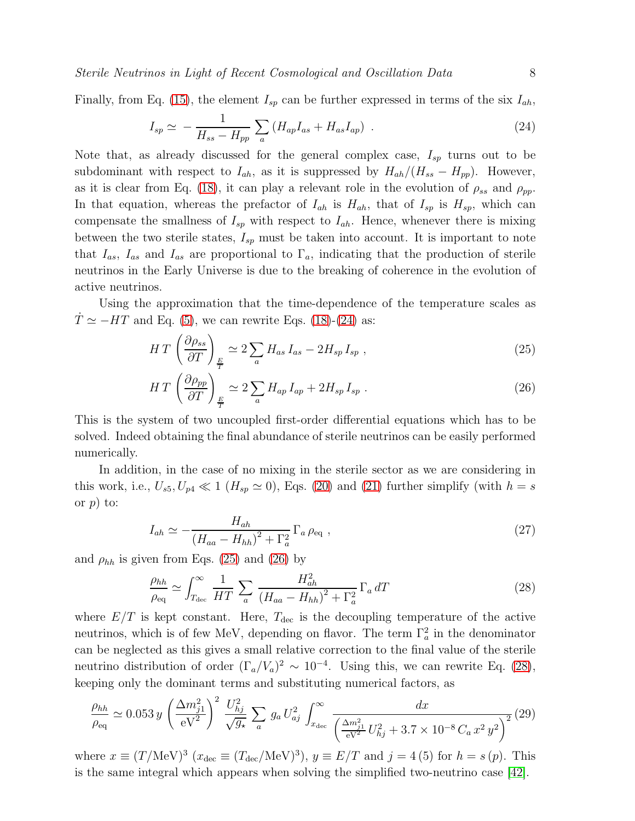Sterile Neutrinos in Light of Recent Cosmological and Oscillation Data 8

Finally, from Eq. [\(15\)](#page-6-0), the element  $I_{sp}$  can be further expressed in terms of the six  $I_{ah}$ ,

<span id="page-7-0"></span>
$$
I_{sp} \simeq -\frac{1}{H_{ss} - H_{pp}} \sum_{a} \left( H_{ap} I_{as} + H_{as} I_{ap} \right) \tag{24}
$$

Note that, as already discussed for the general complex case,  $I_{sp}$  turns out to be subdominant with respect to  $I_{ah}$ , as it is suppressed by  $H_{ah}/(H_{ss} - H_{pp})$ . However, as it is clear from Eq. [\(18\)](#page-6-2), it can play a relevant role in the evolution of  $\rho_{ss}$  and  $\rho_{pp}$ . In that equation, whereas the prefactor of  $I_{ah}$  is  $H_{ah}$ , that of  $I_{sp}$  is  $H_{sp}$ , which can compensate the smallness of  $I_{sp}$  with respect to  $I_{ah}$ . Hence, whenever there is mixing between the two sterile states,  $I_{sp}$  must be taken into account. It is important to note that  $I_{as}$ ,  $I_{as}$  and  $I_{as}$  are proportional to  $\Gamma_a$ , indicating that the production of sterile neutrinos in the Early Universe is due to the breaking of coherence in the evolution of active neutrinos.

Using the approximation that the time-dependence of the temperature scales as  $T \simeq -HT$  and Eq. [\(5\)](#page-4-2), we can rewrite Eqs. [\(18\)](#page-6-2)-[\(24\)](#page-7-0) as:

<span id="page-7-1"></span>
$$
HT\left(\frac{\partial \rho_{ss}}{\partial T}\right)_{\frac{E}{T}} \simeq 2\sum_{a} H_{as} I_{as} - 2H_{sp} I_{sp} ,\qquad (25)
$$

$$
HT\left(\frac{\partial \rho_{pp}}{\partial T}\right)_{\frac{E}{T}} \simeq 2\sum_{a} H_{ap} I_{ap} + 2H_{sp} I_{sp} . \tag{26}
$$

This is the system of two uncoupled first-order differential equations which has to be solved. Indeed obtaining the final abundance of sterile neutrinos can be easily performed numerically.

In addition, in the case of no mixing in the sterile sector as we are considering in this work, i.e.,  $U_{s5}$ ,  $U_{p4} \ll 1$  ( $H_{sp} \simeq 0$ ), Eqs. [\(20\)](#page-6-3) and [\(21\)](#page-6-3) further simplify (with  $h = s$ or  $p$ ) to:

$$
I_{ah} \simeq -\frac{H_{ah}}{(H_{aa} - H_{hh})^2 + \Gamma_a^2} \Gamma_a \rho_{\text{eq}} ,
$$
 (27)

and  $\rho_{hh}$  is given from Eqs. [\(25\)](#page-7-1) and [\(26\)](#page-7-1) by

<span id="page-7-2"></span>
$$
\frac{\rho_{hh}}{\rho_{\text{eq}}} \simeq \int_{T_{\text{dec}}}^{\infty} \frac{1}{HT} \sum_{a} \frac{H_{ah}^2}{\left(H_{aa} - H_{hh}\right)^2 + \Gamma_a^2} \Gamma_a \, dT \tag{28}
$$

where  $E/T$  is kept constant. Here,  $T_{\text{dec}}$  is the decoupling temperature of the active neutrinos, which is of few MeV, depending on flavor. The term  $\Gamma_a^2$  in the denominator can be neglected as this gives a small relative correction to the final value of the sterile neutrino distribution of order  $(\Gamma_a/V_a)^2 \sim 10^{-4}$ . Using this, we can rewrite Eq. [\(28\)](#page-7-2), keeping only the dominant terms and substituting numerical factors, as

$$
\frac{\rho_{hh}}{\rho_{\text{eq}}} \simeq 0.053 \, y \, \left(\frac{\Delta m_{j1}^2}{\text{eV}^2}\right)^2 \, \frac{U_{hj}^2}{\sqrt{g_\star}} \, \sum_a \, g_a \, U_{aj}^2 \, \int_{x_{\text{dec}}}^\infty \, \frac{dx}{\left(\frac{\Delta m_{j1}^2}{\text{eV}^2} \, U_{hj}^2 + 3.7 \times 10^{-8} \, C_a \, x^2 \, y^2\right)^2} (29)
$$

where  $x \equiv (T/\text{MeV})^3$   $(x_{\text{dec}} \equiv (T_{\text{dec}}/\text{MeV})^3)$ ,  $y \equiv E/T$  and  $j = 4(5)$  for  $h = s(p)$ . This is the same integral which appears when solving the simplified two-neutrino case [\[42\]](#page-25-17).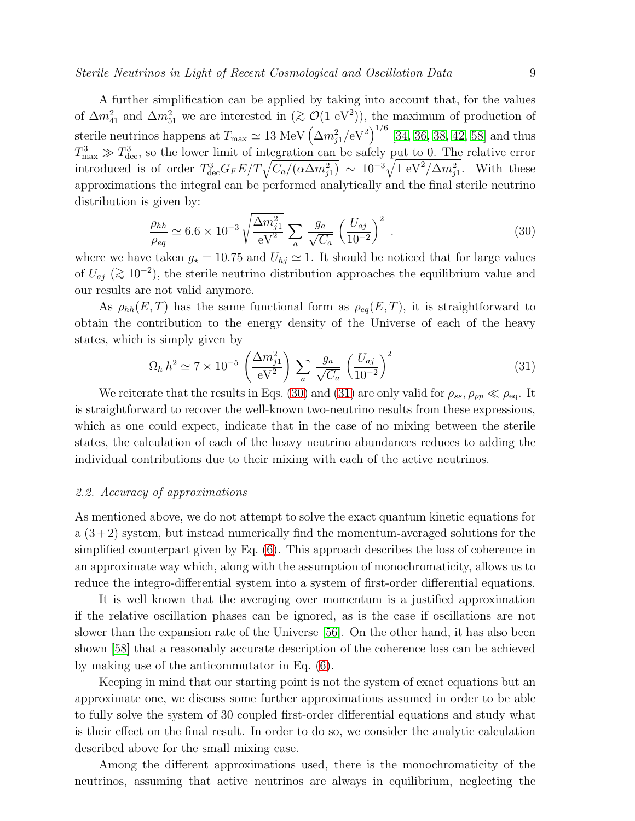## Sterile Neutrinos in Light of Recent Cosmological and Oscillation Data 9

A further simplification can be applied by taking into account that, for the values of  $\Delta m_{41}^2$  and  $\Delta m_{51}^2$  we are interested in  $(\gtrsim \mathcal{O}(1 \text{ eV}^2))$ , the maximum of production of sterile neutrinos happens at  $T_{\text{max}} \simeq 13 \text{ MeV} \left( \Delta m_{j1}^2/\text{eV}^2 \right)^{1/6} [34, 36, 38, 42, 58]$  $T_{\text{max}} \simeq 13 \text{ MeV} \left( \Delta m_{j1}^2/\text{eV}^2 \right)^{1/6} [34, 36, 38, 42, 58]$  $T_{\text{max}} \simeq 13 \text{ MeV} \left( \Delta m_{j1}^2/\text{eV}^2 \right)^{1/6} [34, 36, 38, 42, 58]$  $T_{\text{max}} \simeq 13 \text{ MeV} \left( \Delta m_{j1}^2/\text{eV}^2 \right)^{1/6} [34, 36, 38, 42, 58]$  $T_{\text{max}} \simeq 13 \text{ MeV} \left( \Delta m_{j1}^2/\text{eV}^2 \right)^{1/6} [34, 36, 38, 42, 58]$  $T_{\text{max}} \simeq 13 \text{ MeV} \left( \Delta m_{j1}^2/\text{eV}^2 \right)^{1/6} [34, 36, 38, 42, 58]$  and thus  $T_{\text{max}}^3 \gg T_{\text{dec}}^3$ , so the lower limit of integration can be safely put to 0. The relative error introduced is of order  $T_{\text{dec}}^3 G_F E/T \sqrt{C_a/(\alpha \Delta m_{j1}^2)} \sim 10^{-3} \sqrt{1 \text{ eV}^2/\Delta m_{j1}^2}$ . With these approximations the integral can be performed analytically and the final sterile neutrino distribution is given by:

<span id="page-8-0"></span>
$$
\frac{\rho_{hh}}{\rho_{eq}} \simeq 6.6 \times 10^{-3} \sqrt{\frac{\Delta m_{j1}^2}{\text{eV}^2}} \sum_a \frac{g_a}{\sqrt{C_a}} \left(\frac{U_{aj}}{10^{-2}}\right)^2 \,. \tag{30}
$$

where we have taken  $g_{\star} = 10.75$  and  $U_{hj} \simeq 1$ . It should be noticed that for large values of  $U_{aj}$  ( $\gtrsim 10^{-2}$ ), the sterile neutrino distribution approaches the equilibrium value and our results are not valid anymore.

As  $\rho_{hh}(E,T)$  has the same functional form as  $\rho_{eq}(E,T)$ , it is straightforward to obtain the contribution to the energy density of the Universe of each of the heavy states, which is simply given by

<span id="page-8-1"></span>
$$
\Omega_h h^2 \simeq 7 \times 10^{-5} \left(\frac{\Delta m_{j1}^2}{\text{eV}^2}\right) \sum_a \frac{g_a}{\sqrt{C_a}} \left(\frac{U_{aj}}{10^{-2}}\right)^2 \tag{31}
$$

We reiterate that the results in Eqs. [\(30\)](#page-8-0) and [\(31\)](#page-8-1) are only valid for  $\rho_{ss}, \rho_{pp} \ll \rho_{eq}$ . It is straightforward to recover the well-known two-neutrino results from these expressions, which as one could expect, indicate that in the case of no mixing between the sterile states, the calculation of each of the heavy neutrino abundances reduces to adding the individual contributions due to their mixing with each of the active neutrinos.

## 2.2. Accuracy of approximations

As mentioned above, we do not attempt to solve the exact quantum kinetic equations for  $a(3+2)$  system, but instead numerically find the momentum-averaged solutions for the simplified counterpart given by Eq. [\(6\)](#page-4-0). This approach describes the loss of coherence in an approximate way which, along with the assumption of monochromaticity, allows us to reduce the integro-differential system into a system of first-order differential equations.

It is well known that the averaging over momentum is a justified approximation if the relative oscillation phases can be ignored, as is the case if oscillations are not slower than the expansion rate of the Universe [\[56\]](#page-26-9). On the other hand, it has also been shown [\[58\]](#page-26-11) that a reasonably accurate description of the coherence loss can be achieved by making use of the anticommutator in Eq. [\(6\)](#page-4-0).

Keeping in mind that our starting point is not the system of exact equations but an approximate one, we discuss some further approximations assumed in order to be able to fully solve the system of 30 coupled first-order differential equations and study what is their effect on the final result. In order to do so, we consider the analytic calculation described above for the small mixing case.

Among the different approximations used, there is the monochromaticity of the neutrinos, assuming that active neutrinos are always in equilibrium, neglecting the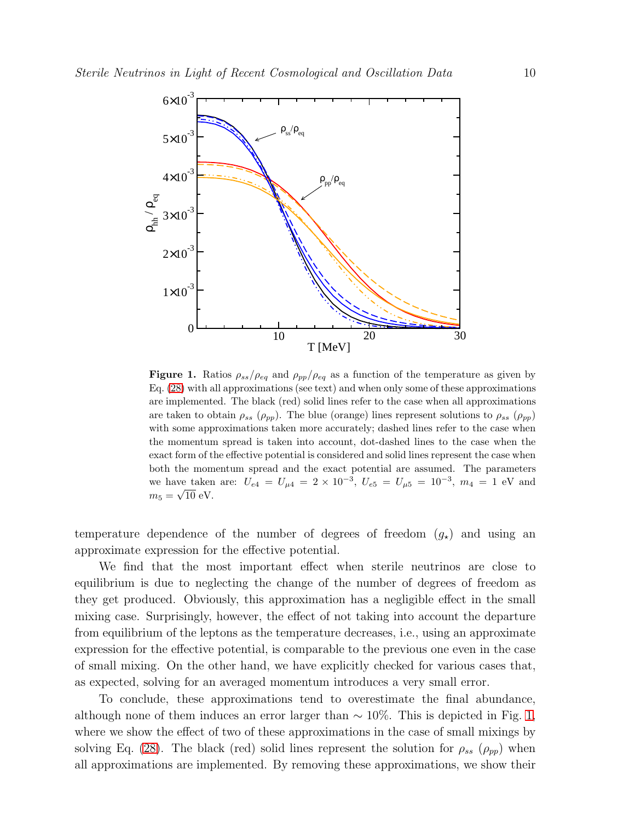

<span id="page-9-0"></span>**Figure 1.** Ratios  $\rho_{ss}/\rho_{eq}$  and  $\rho_{pp}/\rho_{eq}$  as a function of the temperature as given by Eq. [\(28\)](#page-7-2) with all approximations (see text) and when only some of these approximations are implemented. The black (red) solid lines refer to the case when all approximations are taken to obtain  $\rho_{ss}$  ( $\rho_{pp}$ ). The blue (orange) lines represent solutions to  $\rho_{ss}$  ( $\rho_{pp}$ ) with some approximations taken more accurately; dashed lines refer to the case when the momentum spread is taken into account, dot-dashed lines to the case when the exact form of the effective potential is considered and solid lines represent the case when both the momentum spread and the exact potential are assumed. The parameters we have taken are:  $U_{e4} = U_{\mu 4} = 2 \times 10^{-3}$ ,  $U_{e5} = U_{\mu 5} = 10^{-3}$ ,  $m_4 = 1$  eV and  $m_5 = \sqrt{10} \text{ eV}.$ 

temperature dependence of the number of degrees of freedom  $(g<sub>\star</sub>)$  and using an approximate expression for the effective potential.

We find that the most important effect when sterile neutrinos are close to equilibrium is due to neglecting the change of the number of degrees of freedom as they get produced. Obviously, this approximation has a negligible effect in the small mixing case. Surprisingly, however, the effect of not taking into account the departure from equilibrium of the leptons as the temperature decreases, i.e., using an approximate expression for the effective potential, is comparable to the previous one even in the case of small mixing. On the other hand, we have explicitly checked for various cases that, as expected, solving for an averaged momentum introduces a very small error.

To conclude, these approximations tend to overestimate the final abundance, although none of them induces an error larger than  $\sim 10\%$ . This is depicted in Fig. [1,](#page-9-0) where we show the effect of two of these approximations in the case of small mixings by solving Eq. [\(28\)](#page-7-2). The black (red) solid lines represent the solution for  $\rho_{ss}$  ( $\rho_{pp}$ ) when all approximations are implemented. By removing these approximations, we show their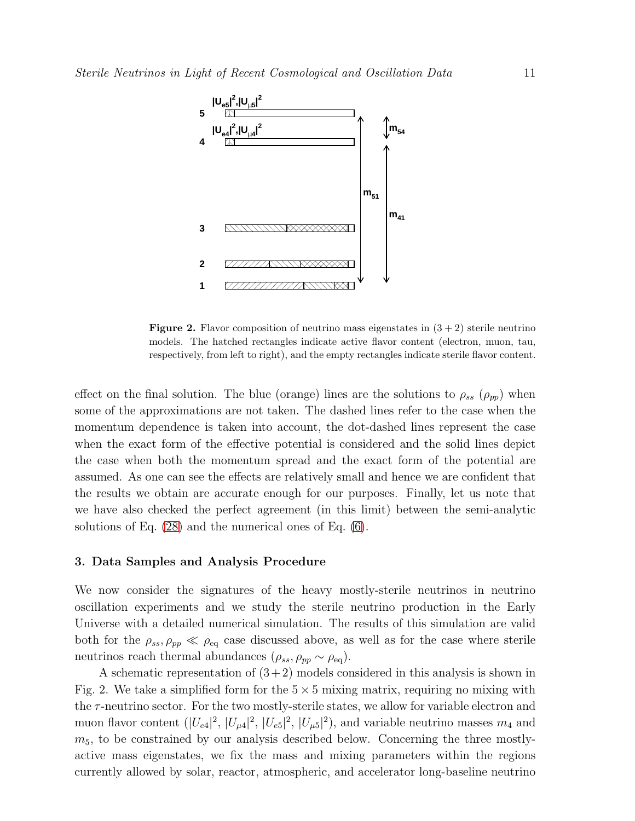

**Figure 2.** Flavor composition of neutrino mass eigenstates in  $(3 + 2)$  sterile neutrino models. The hatched rectangles indicate active flavor content (electron, muon, tau, respectively, from left to right), and the empty rectangles indicate sterile flavor content.

effect on the final solution. The blue (orange) lines are the solutions to  $\rho_{ss}$  ( $\rho_{pp}$ ) when some of the approximations are not taken. The dashed lines refer to the case when the momentum dependence is taken into account, the dot-dashed lines represent the case when the exact form of the effective potential is considered and the solid lines depict the case when both the momentum spread and the exact form of the potential are assumed. As one can see the effects are relatively small and hence we are confident that the results we obtain are accurate enough for our purposes. Finally, let us note that we have also checked the perfect agreement (in this limit) between the semi-analytic solutions of Eq. [\(28\)](#page-7-2) and the numerical ones of Eq. [\(6\)](#page-4-0).

#### <span id="page-10-0"></span>3. Data Samples and Analysis Procedure

We now consider the signatures of the heavy mostly-sterile neutrinos in neutrino oscillation experiments and we study the sterile neutrino production in the Early Universe with a detailed numerical simulation. The results of this simulation are valid both for the  $\rho_{ss}, \rho_{pp} \ll \rho_{eq}$  case discussed above, as well as for the case where sterile neutrinos reach thermal abundances ( $\rho_{ss}, \rho_{pp} \sim \rho_{eq}$ ).

A schematic representation of  $(3+2)$  models considered in this analysis is shown in Fig. 2. We take a simplified form for the  $5 \times 5$  mixing matrix, requiring no mixing with the  $\tau$ -neutrino sector. For the two mostly-sterile states, we allow for variable electron and muon flavor content  $(|U_{e4}|^2, |U_{\mu 4}|^2, |U_{e5}|^2, |U_{\mu 5}|^2)$ , and variable neutrino masses  $m_4$  and  $m<sub>5</sub>$ , to be constrained by our analysis described below. Concerning the three mostlyactive mass eigenstates, we fix the mass and mixing parameters within the regions currently allowed by solar, reactor, atmospheric, and accelerator long-baseline neutrino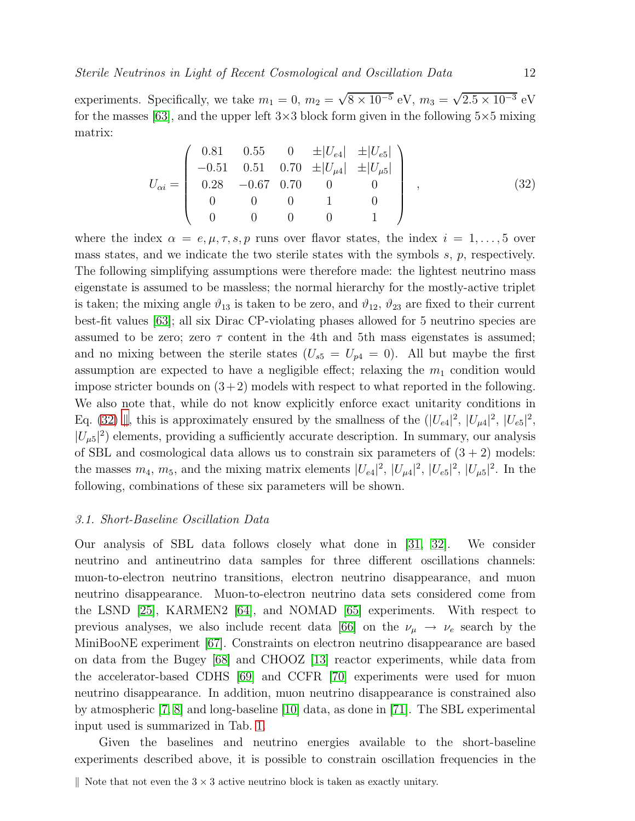experiments. Specifically, we take  $m_1 = 0$ ,  $m_2 = \sqrt{8 \times 10^{-5}}$  eV,  $m_3 = \sqrt{2.5 \times 10^{-3}}$  eV for the masses [\[63\]](#page-26-16), and the upper left  $3\times3$  block form given in the following  $5\times5$  mixing matrix:

<span id="page-11-0"></span>
$$
U_{\alpha i} = \begin{pmatrix} 0.81 & 0.55 & 0 & \pm |U_{e4}| & \pm |U_{e5}| \\ -0.51 & 0.51 & 0.70 & \pm |U_{\mu 4}| & \pm |U_{\mu 5}| \\ 0.28 & -0.67 & 0.70 & 0 & 0 \\ 0 & 0 & 0 & 1 & 0 \\ 0 & 0 & 0 & 0 & 1 \end{pmatrix} , \qquad (32)
$$

where the index  $\alpha = e, \mu, \tau, s, p$  runs over flavor states, the index  $i = 1, \ldots, 5$  over mass states, and we indicate the two sterile states with the symbols  $s, p$ , respectively. The following simplifying assumptions were therefore made: the lightest neutrino mass eigenstate is assumed to be massless; the normal hierarchy for the mostly-active triplet is taken; the mixing angle  $\vartheta_{13}$  is taken to be zero, and  $\vartheta_{12}$ ,  $\vartheta_{23}$  are fixed to their current best-fit values [\[63\]](#page-26-16); all six Dirac CP-violating phases allowed for 5 neutrino species are assumed to be zero; zero  $\tau$  content in the 4th and 5th mass eigenstates is assumed; and no mixing between the sterile states  $(U_{s5} = U_{p4} = 0)$ . All but maybe the first assumption are expected to have a negligible effect; relaxing the  $m_1$  condition would impose stricter bounds on  $(3+2)$  models with respect to what reported in the following. We also note that, while do not know explicitly enforce exact unitarity conditions in Eq. [\(32\)](#page-11-0)  $\parallel$ , this is approximately ensured by the smallness of the  $(|U_{e4}|^2, |U_{\mu 4}|^2, |U_{e5}|^2,$  $|U_{\mu 5}|^2$ ) elements, providing a sufficiently accurate description. In summary, our analysis of SBL and cosmological data allows us to constrain six parameters of  $(3 + 2)$  models: the masses  $m_4$ ,  $m_5$ , and the mixing matrix elements  $|U_{e4}|^2$ ,  $|U_{\mu 4}|^2$ ,  $|U_{e5}|^2$ ,  $|U_{\mu 5}|^2$ . In the following, combinations of these six parameters will be shown.

#### <span id="page-11-2"></span>3.1. Short-Baseline Oscillation Data

Our analysis of SBL data follows closely what done in [\[31,](#page-25-6) [32\]](#page-25-7). We consider neutrino and antineutrino data samples for three different oscillations channels: muon-to-electron neutrino transitions, electron neutrino disappearance, and muon neutrino disappearance. Muon-to-electron neutrino data sets considered come from the LSND [\[25\]](#page-25-0), KARMEN2 [\[64\]](#page-26-17), and NOMAD [\[65\]](#page-26-18) experiments. With respect to previous analyses, we also include recent data [\[66\]](#page-26-19) on the  $\nu_{\mu} \rightarrow \nu_{e}$  search by the MiniBooNE experiment [\[67\]](#page-26-20). Constraints on electron neutrino disappearance are based on data from the Bugey [\[68\]](#page-27-0) and CHOOZ [\[13\]](#page-23-8) reactor experiments, while data from the accelerator-based CDHS [\[69\]](#page-27-1) and CCFR [\[70\]](#page-27-2) experiments were used for muon neutrino disappearance. In addition, muon neutrino disappearance is constrained also by atmospheric [\[7,](#page-23-2) [8\]](#page-23-3) and long-baseline [\[10\]](#page-23-5) data, as done in [\[71\]](#page-27-3). The SBL experimental input used is summarized in Tab. [1.](#page-12-0)

Given the baselines and neutrino energies available to the short-baseline experiments described above, it is possible to constrain oscillation frequencies in the

<span id="page-11-1"></span>Note that not even the  $3 \times 3$  active neutrino block is taken as exactly unitary.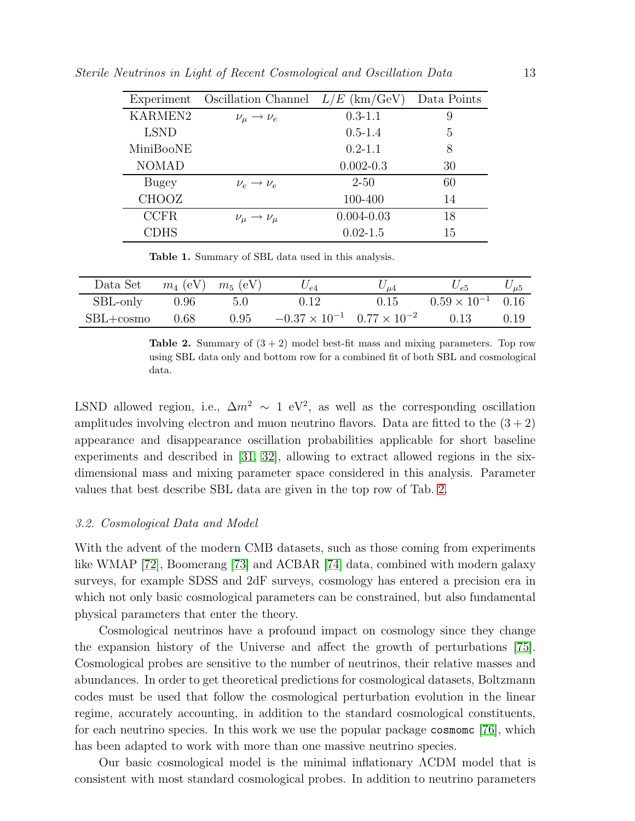| Experiment     | Oscillation Channel           | $L/E~(\text{km}/\text{GeV})$ | Data Points |
|----------------|-------------------------------|------------------------------|-------------|
| <b>KARMEN2</b> | $\nu_\mu \rightarrow \nu_e$   | $0.3 - 1.1$                  | 9           |
| <b>LSND</b>    |                               | $0.5 - 1.4$                  | 5           |
| MiniBooNE      |                               | $0.2 - 1.1$                  | 8           |
| <b>NOMAD</b>   |                               | $0.002 - 0.3$                | 30          |
| Bugey          | $\nu_e \rightarrow \nu_e$     | $2 - 50$                     | 60          |
| <b>CHOOZ</b>   |                               | 100-400                      | 14          |
| <b>CCFR</b>    | $\nu_\mu \rightarrow \nu_\mu$ | $0.004 - 0.03$               | 18          |
| CDHS           |                               | $0.02 - 1.5$                 | 15          |

Sterile Neutrinos in Light of Recent Cosmological and Oscillation Data 13

<span id="page-12-0"></span>Table 1. Summary of SBL data used in this analysis.

| Data Set      | $m_4$ (eV) $m_5$ (eV) |      | $U_{e4}$                                     | $^{\prime}$ u4 | $U_{e5}$                   | $\cup_{\mu 5}$ |
|---------------|-----------------------|------|----------------------------------------------|----------------|----------------------------|----------------|
| SBL-only      | 0.96                  | 5.0  | 0.12                                         | 0.15           | $0.59 \times 10^{-1}$ 0.16 |                |
| $SBL + cosmo$ | 0.68                  | 0.95 | $-0.37 \times 10^{-1}$ $0.77 \times 10^{-2}$ |                | 0.13                       | 0.19           |

<span id="page-12-1"></span>**Table 2.** Summary of  $(3 + 2)$  model best-fit mass and mixing parameters. Top row using SBL data only and bottom row for a combined fit of both SBL and cosmological data.

LSND allowed region, i.e.,  $\Delta m^2 \sim 1$  eV<sup>2</sup>, as well as the corresponding oscillation amplitudes involving electron and muon neutrino flavors. Data are fitted to the  $(3+2)$ appearance and disappearance oscillation probabilities applicable for short baseline experiments and described in [\[31,](#page-25-6) [32\]](#page-25-7), allowing to extract allowed regions in the sixdimensional mass and mixing parameter space considered in this analysis. Parameter values that best describe SBL data are given in the top row of Tab. [2.](#page-12-1)

#### <span id="page-12-2"></span>3.2. Cosmological Data and Model

With the advent of the modern CMB datasets, such as those coming from experiments like WMAP [\[72\]](#page-27-4), Boomerang [\[73\]](#page-27-5) and ACBAR [\[74\]](#page-27-6) data, combined with modern galaxy surveys, for example SDSS and 2dF surveys, cosmology has entered a precision era in which not only basic cosmological parameters can be constrained, but also fundamental physical parameters that enter the theory.

Cosmological neutrinos have a profound impact on cosmology since they change the expansion history of the Universe and affect the growth of perturbations [\[75\]](#page-27-7). Cosmological probes are sensitive to the number of neutrinos, their relative masses and abundances. In order to get theoretical predictions for cosmological datasets, Boltzmann codes must be used that follow the cosmological perturbation evolution in the linear regime, accurately accounting, in addition to the standard cosmological constituents, for each neutrino species. In this work we use the popular package cosmomc [\[76\]](#page-27-8), which has been adapted to work with more than one massive neutrino species.

Our basic cosmological model is the minimal inflationary ΛCDM model that is consistent with most standard cosmological probes. In addition to neutrino parameters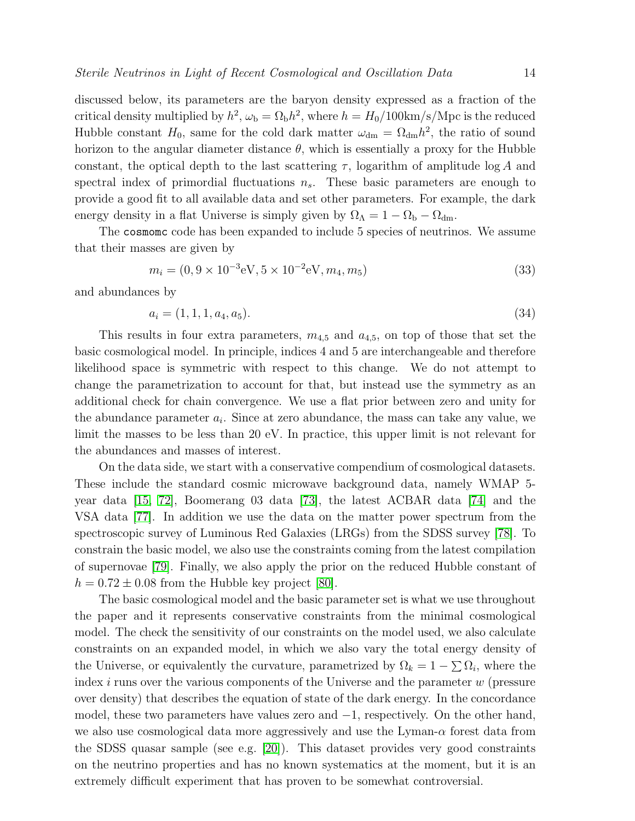discussed below, its parameters are the baryon density expressed as a fraction of the critical density multiplied by  $h^2$ ,  $\omega_{\rm b} = \Omega_{\rm b} h^2$ , where  $h = H_0/100 \text{km/s/Mpc}$  is the reduced Hubble constant  $H_0$ , same for the cold dark matter  $\omega_{dm} = \Omega_{dm} h^2$ , the ratio of sound horizon to the angular diameter distance  $\theta$ , which is essentially a proxy for the Hubble constant, the optical depth to the last scattering  $\tau$ , logarithm of amplitude log A and spectral index of primordial fluctuations  $n<sub>s</sub>$ . These basic parameters are enough to provide a good fit to all available data and set other parameters. For example, the dark energy density in a flat Universe is simply given by  $\Omega_{\Lambda} = 1 - \Omega_{\rm b} - \Omega_{\rm dm}$ .

The cosmomc code has been expanded to include 5 species of neutrinos. We assume that their masses are given by

$$
m_i = (0, 9 \times 10^{-3} \text{eV}, 5 \times 10^{-2} \text{eV}, m_4, m_5)
$$
\n(33)

and abundances by

$$
a_i = (1, 1, 1, a_4, a_5). \tag{34}
$$

This results in four extra parameters,  $m_{4,5}$  and  $a_{4,5}$ , on top of those that set the basic cosmological model. In principle, indices 4 and 5 are interchangeable and therefore likelihood space is symmetric with respect to this change. We do not attempt to change the parametrization to account for that, but instead use the symmetry as an additional check for chain convergence. We use a flat prior between zero and unity for the abundance parameter  $a_i$ . Since at zero abundance, the mass can take any value, we limit the masses to be less than 20 eV. In practice, this upper limit is not relevant for the abundances and masses of interest.

On the data side, we start with a conservative compendium of cosmological datasets. These include the standard cosmic microwave background data, namely WMAP 5 year data [\[15,](#page-23-10) [72\]](#page-27-4), Boomerang 03 data [\[73\]](#page-27-5), the latest ACBAR data [\[74\]](#page-27-6) and the VSA data [\[77\]](#page-27-9). In addition we use the data on the matter power spectrum from the spectroscopic survey of Luminous Red Galaxies (LRGs) from the SDSS survey [\[78\]](#page-27-10). To constrain the basic model, we also use the constraints coming from the latest compilation of supernovae [\[79\]](#page-27-11). Finally, we also apply the prior on the reduced Hubble constant of  $h = 0.72 \pm 0.08$  from the Hubble key project [\[80\]](#page-27-12).

The basic cosmological model and the basic parameter set is what we use throughout the paper and it represents conservative constraints from the minimal cosmological model. The check the sensitivity of our constraints on the model used, we also calculate constraints on an expanded model, in which we also vary the total energy density of the Universe, or equivalently the curvature, parametrized by  $\Omega_k = 1 - \sum \Omega_i$ , where the index *i* runs over the various components of the Universe and the parameter w (pressure over density) that describes the equation of state of the dark energy. In the concordance model, these two parameters have values zero and −1, respectively. On the other hand, we also use cosmological data more aggressively and use the Lyman- $\alpha$  forest data from the SDSS quasar sample (see e.g. [\[20\]](#page-24-2)). This dataset provides very good constraints on the neutrino properties and has no known systematics at the moment, but it is an extremely difficult experiment that has proven to be somewhat controversial.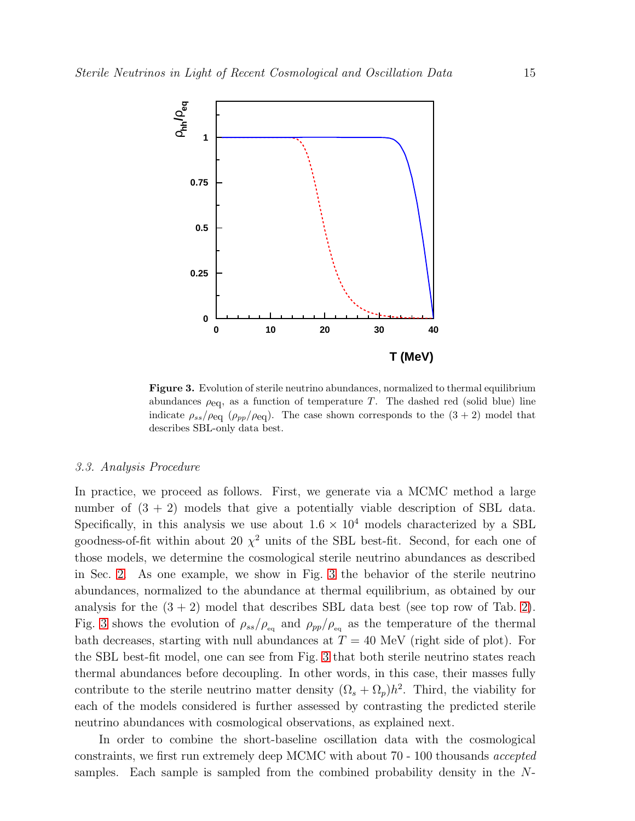

<span id="page-14-0"></span>Figure 3. Evolution of sterile neutrino abundances, normalized to thermal equilibrium abundances  $\rho_{\text{eq}}$ , as a function of temperature T. The dashed red (solid blue) line indicate  $\rho_{ss}/\rho_{eq}$  ( $\rho_{pp}/\rho_{eq}$ ). The case shown corresponds to the  $(3 + 2)$  model that describes SBL-only data best.

## 3.3. Analysis Procedure

In practice, we proceed as follows. First, we generate via a MCMC method a large number of  $(3 + 2)$  models that give a potentially viable description of SBL data. Specifically, in this analysis we use about  $1.6 \times 10^4$  models characterized by a SBL goodness-of-fit within about 20  $\chi^2$  units of the SBL best-fit. Second, for each one of those models, we determine the cosmological sterile neutrino abundances as described in Sec. [2.](#page-3-0) As one example, we show in Fig. [3](#page-14-0) the behavior of the sterile neutrino abundances, normalized to the abundance at thermal equilibrium, as obtained by our analysis for the  $(3 + 2)$  $(3 + 2)$  model that describes SBL data best (see top row of Tab. 2). Fig. [3](#page-14-0) shows the evolution of  $\rho_{ss}/\rho_{\text{eq}}$  and  $\rho_{pp}/\rho_{\text{eq}}$  as the temperature of the thermal bath decreases, starting with null abundances at  $T = 40$  MeV (right side of plot). For the SBL best-fit model, one can see from Fig. [3](#page-14-0) that both sterile neutrino states reach thermal abundances before decoupling. In other words, in this case, their masses fully contribute to the sterile neutrino matter density  $(\Omega_s + \Omega_p)h^2$ . Third, the viability for each of the models considered is further assessed by contrasting the predicted sterile neutrino abundances with cosmological observations, as explained next.

In order to combine the short-baseline oscillation data with the cosmological constraints, we first run extremely deep MCMC with about 70 - 100 thousands accepted samples. Each sample is sampled from the combined probability density in the  $N$ -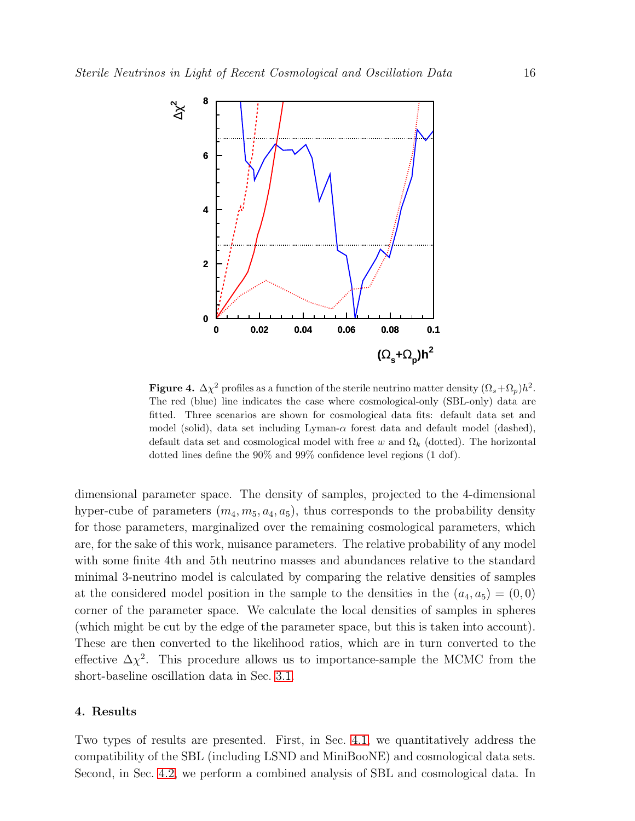

<span id="page-15-1"></span>**Figure 4.**  $\Delta \chi^2$  profiles as a function of the sterile neutrino matter density  $(\Omega_s + \Omega_p)h^2$ . The red (blue) line indicates the case where cosmological-only (SBL-only) data are fitted. Three scenarios are shown for cosmological data fits: default data set and model (solid), data set including  $Lyman-\alpha$  forest data and default model (dashed), default data set and cosmological model with free w and  $\Omega_k$  (dotted). The horizontal dotted lines define the 90% and 99% confidence level regions (1 dof).

dimensional parameter space. The density of samples, projected to the 4-dimensional hyper-cube of parameters  $(m_4, m_5, a_4, a_5)$ , thus corresponds to the probability density for those parameters, marginalized over the remaining cosmological parameters, which are, for the sake of this work, nuisance parameters. The relative probability of any model with some finite 4th and 5th neutrino masses and abundances relative to the standard minimal 3-neutrino model is calculated by comparing the relative densities of samples at the considered model position in the sample to the densities in the  $(a_4, a_5) = (0, 0)$ corner of the parameter space. We calculate the local densities of samples in spheres (which might be cut by the edge of the parameter space, but this is taken into account). These are then converted to the likelihood ratios, which are in turn converted to the effective  $\Delta \chi^2$ . This procedure allows us to importance-sample the MCMC from the short-baseline oscillation data in Sec. [3.1.](#page-11-2)

## <span id="page-15-0"></span>4. Results

Two types of results are presented. First, in Sec. [4.1,](#page-16-0) we quantitatively address the compatibility of the SBL (including LSND and MiniBooNE) and cosmological data sets. Second, in Sec. [4.2,](#page-19-0) we perform a combined analysis of SBL and cosmological data. In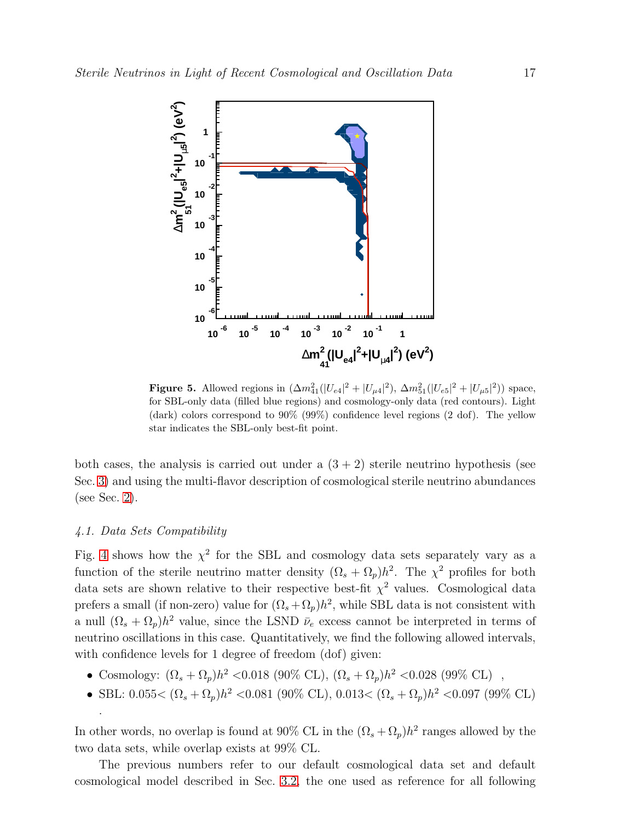

<span id="page-16-1"></span>**Figure 5.** Allowed regions in  $(\Delta m_{41}^2(|U_{e4}|^2 + |U_{\mu 4}|^2), \Delta m_{51}^2(|U_{e5}|^2 + |U_{\mu 5}|^2))$  space, for SBL-only data (filled blue regions) and cosmology-only data (red contours). Light (dark) colors correspond to 90% (99%) confidence level regions (2 dof). The yellow star indicates the SBL-only best-fit point.

both cases, the analysis is carried out under a  $(3 + 2)$  sterile neutrino hypothesis (see Sec. [3\)](#page-10-0) and using the multi-flavor description of cosmological sterile neutrino abundances (see Sec. [2\)](#page-3-0).

## <span id="page-16-0"></span>4.1. Data Sets Compatibility

.

Fig. [4](#page-15-1) shows how the  $\chi^2$  for the SBL and cosmology data sets separately vary as a function of the sterile neutrino matter density  $(\Omega_s + \Omega_p)h^2$ . The  $\chi^2$  profiles for both data sets are shown relative to their respective best-fit  $\chi^2$  values. Cosmological data prefers a small (if non-zero) value for  $(\Omega_s + \Omega_p)h^2$ , while SBL data is not consistent with a null  $(\Omega_s + \Omega_p)h^2$  value, since the LSND  $\bar{\nu}_e$  excess cannot be interpreted in terms of neutrino oscillations in this case. Quantitatively, we find the following allowed intervals, with confidence levels for 1 degree of freedom (dof) given:

- Cosmology:  $(\Omega_s + \Omega_p)h^2 < 0.018$  (90% CL),  $(\Omega_s + \Omega_p)h^2 < 0.028$  (99% CL),
- SBL:  $0.055 < (\Omega_s + \Omega_p)h^2 < 0.081$  (90% CL),  $0.013 < (\Omega_s + \Omega_p)h^2 < 0.097$  (99% CL)

In other words, no overlap is found at 90% CL in the  $(\Omega_s + \Omega_p)h^2$  ranges allowed by the two data sets, while overlap exists at 99% CL.

The previous numbers refer to our default cosmological data set and default cosmological model described in Sec. [3.2,](#page-12-2) the one used as reference for all following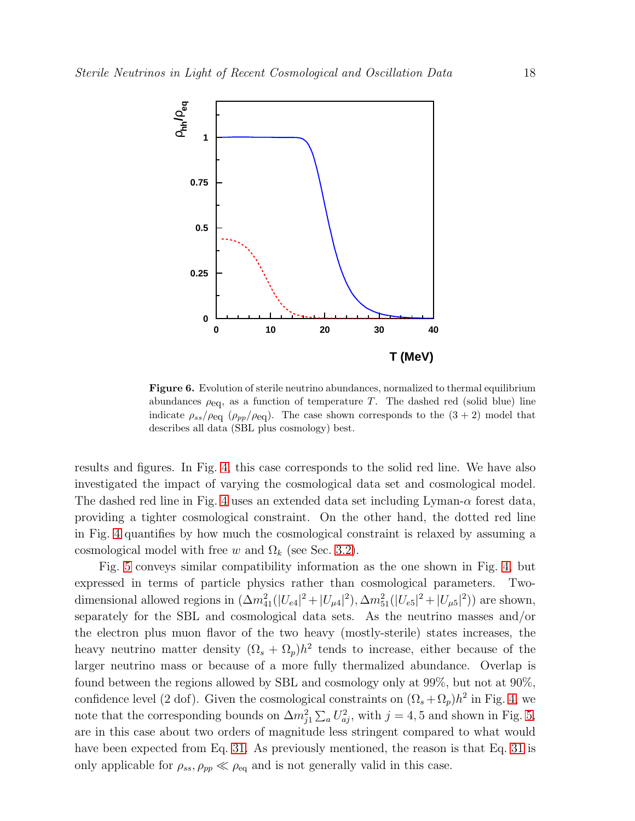

<span id="page-17-0"></span>Figure 6. Evolution of sterile neutrino abundances, normalized to thermal equilibrium abundances  $\rho_{\text{eq}}$ , as a function of temperature T. The dashed red (solid blue) line indicate  $\rho_{ss}/\rho_{eq}$  ( $\rho_{pp}/\rho_{eq}$ ). The case shown corresponds to the  $(3 + 2)$  model that describes all data (SBL plus cosmology) best.

results and figures. In Fig. [4,](#page-15-1) this case corresponds to the solid red line. We have also investigated the impact of varying the cosmological data set and cosmological model. The dashed red line in Fig. [4](#page-15-1) uses an extended data set including Lyman- $\alpha$  forest data, providing a tighter cosmological constraint. On the other hand, the dotted red line in Fig. [4](#page-15-1) quantifies by how much the cosmological constraint is relaxed by assuming a cosmological model with free w and  $\Omega_k$  (see Sec. [3.2\)](#page-12-2).

Fig. [5](#page-16-1) conveys similar compatibility information as the one shown in Fig. [4,](#page-15-1) but expressed in terms of particle physics rather than cosmological parameters. Twodimensional allowed regions in  $(\Delta m_{41}^2(|U_{e4}|^2 + |U_{\mu 4}|^2), \Delta m_{51}^2(|U_{e5}|^2 + |U_{\mu 5}|^2))$  are shown, separately for the SBL and cosmological data sets. As the neutrino masses and/or the electron plus muon flavor of the two heavy (mostly-sterile) states increases, the heavy neutrino matter density  $(\Omega_s + \Omega_p)h^2$  tends to increase, either because of the larger neutrino mass or because of a more fully thermalized abundance. Overlap is found between the regions allowed by SBL and cosmology only at 99%, but not at 90%, confidence level (2 dof). Given the cosmological constraints on  $(\Omega_s + \Omega_p)h^2$  in Fig. [4,](#page-15-1) we note that the corresponding bounds on  $\Delta m_{j1}^2 \sum_a U_{aj}^2$ , with  $j = 4, 5$  and shown in Fig. [5,](#page-16-1) are in this case about two orders of magnitude less stringent compared to what would have been expected from Eq. [31.](#page-8-1) As previously mentioned, the reason is that Eq. [31](#page-8-1) is only applicable for  $\rho_{ss}$ ,  $\rho_{pp} \ll \rho_{eq}$  and is not generally valid in this case.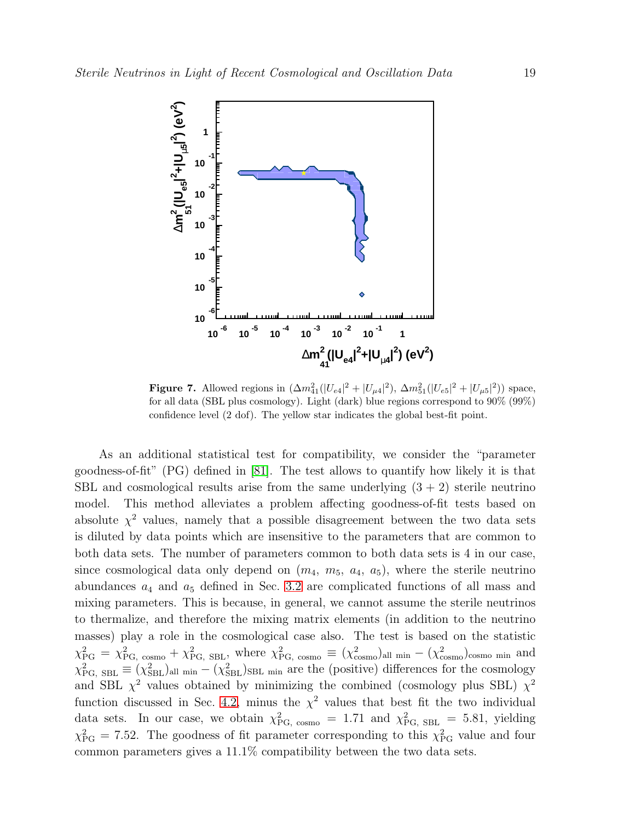

<span id="page-18-0"></span>**Figure 7.** Allowed regions in  $(\Delta m_{41}^2(|U_{e4}|^2 + |U_{\mu 4}|^2), \Delta m_{51}^2(|U_{e5}|^2 + |U_{\mu 5}|^2))$  space, for all data (SBL plus cosmology). Light (dark) blue regions correspond to 90% (99%) confidence level (2 dof). The yellow star indicates the global best-fit point.

As an additional statistical test for compatibility, we consider the "parameter goodness-of-fit" (PG) defined in [\[81\]](#page-27-13). The test allows to quantify how likely it is that SBL and cosmological results arise from the same underlying  $(3 + 2)$  sterile neutrino model. This method alleviates a problem affecting goodness-of-fit tests based on absolute  $\chi^2$  values, namely that a possible disagreement between the two data sets is diluted by data points which are insensitive to the parameters that are common to both data sets. The number of parameters common to both data sets is 4 in our case, since cosmological data only depend on  $(m_4, m_5, a_4, a_5)$ , where the sterile neutrino abundances  $a_4$  and  $a_5$  defined in Sec. [3.2](#page-12-2) are complicated functions of all mass and mixing parameters. This is because, in general, we cannot assume the sterile neutrinos to thermalize, and therefore the mixing matrix elements (in addition to the neutrino masses) play a role in the cosmological case also. The test is based on the statistic  $\chi_{\text{PG}}^2 = \chi_{\text{PG, cosmo}}^2 + \chi_{\text{PG, SBL}}^2$ , where  $\chi_{\text{PG, cosmo}}^2 \equiv (\chi_{\text{cosmo}}^2)_{\text{all min}} - (\chi_{\text{cosmo}}^2)_{\text{cosmo min}}$  and  $\chi^2_{\rm PG, SBL} \equiv (\chi^2_{\rm SBL})_{\rm all min} - (\chi^2_{\rm SBL})_{\rm SBL min}$  are the (positive) differences for the cosmology and SBL  $\chi^2$  values obtained by minimizing the combined (cosmology plus SBL)  $\chi^2$ function discussed in Sec. [4.2,](#page-19-0) minus the  $\chi^2$  values that best fit the two individual data sets. In our case, we obtain  $\chi^2_{\text{PG, cosmo}} = 1.71$  and  $\chi^2_{\text{PG, SBL}} = 5.81$ , yielding  $\chi_{\rm PG}^2 = 7.52$ . The goodness of fit parameter corresponding to this  $\chi_{\rm PG}^2$  value and four common parameters gives a 11.1% compatibility between the two data sets.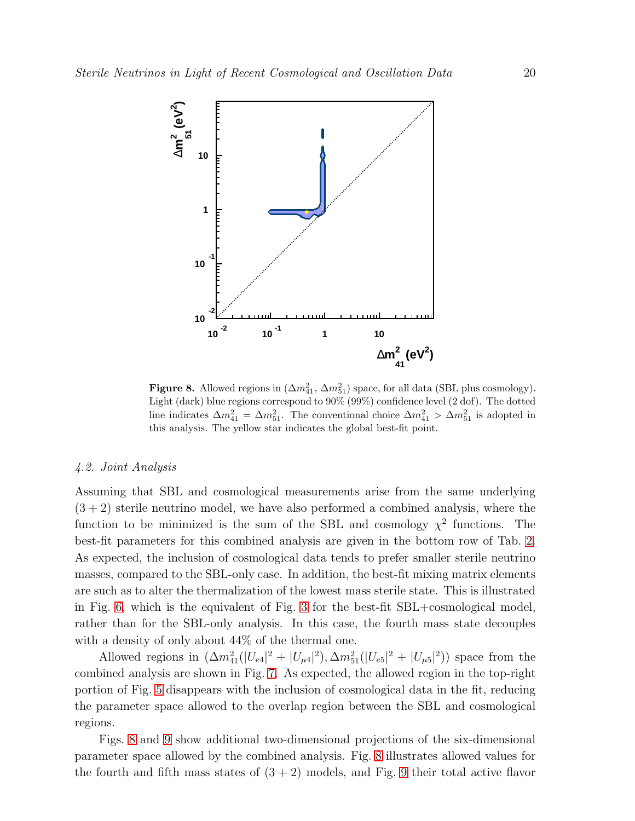

<span id="page-19-1"></span>Figure 8. Allowed regions in  $(\Delta m_{41}^2, \Delta m_{51}^2)$  space, for all data (SBL plus cosmology). Light (dark) blue regions correspond to 90% (99%) confidence level (2 dof). The dotted line indicates  $\Delta m_{41}^2 = \Delta m_{51}^2$ . The conventional choice  $\Delta m_{41}^2 > \Delta m_{51}^2$  is adopted in this analysis. The yellow star indicates the global best-fit point.

## <span id="page-19-0"></span>4.2. Joint Analysis

Assuming that SBL and cosmological measurements arise from the same underlying  $(3 + 2)$  sterile neutrino model, we have also performed a combined analysis, where the function to be minimized is the sum of the SBL and cosmology  $\chi^2$  functions. The best-fit parameters for this combined analysis are given in the bottom row of Tab. [2.](#page-12-1) As expected, the inclusion of cosmological data tends to prefer smaller sterile neutrino masses, compared to the SBL-only case. In addition, the best-fit mixing matrix elements are such as to alter the thermalization of the lowest mass sterile state. This is illustrated in Fig. [6,](#page-17-0) which is the equivalent of Fig. [3](#page-14-0) for the best-fit SBL+cosmological model, rather than for the SBL-only analysis. In this case, the fourth mass state decouples with a density of only about 44% of the thermal one.

Allowed regions in  $(\Delta m_{41}^2(|U_{e4}|^2 + |U_{\mu 4}|^2), \Delta m_{51}^2(|U_{e5}|^2 + |U_{\mu 5}|^2))$  space from the combined analysis are shown in Fig. [7.](#page-18-0) As expected, the allowed region in the top-right portion of Fig. [5](#page-16-1) disappears with the inclusion of cosmological data in the fit, reducing the parameter space allowed to the overlap region between the SBL and cosmological regions.

Figs. [8](#page-19-1) and [9](#page-20-1) show additional two-dimensional projections of the six-dimensional parameter space allowed by the combined analysis. Fig. [8](#page-19-1) illustrates allowed values for the fourth and fifth mass states of  $(3 + 2)$  models, and Fig. [9](#page-20-1) their total active flavor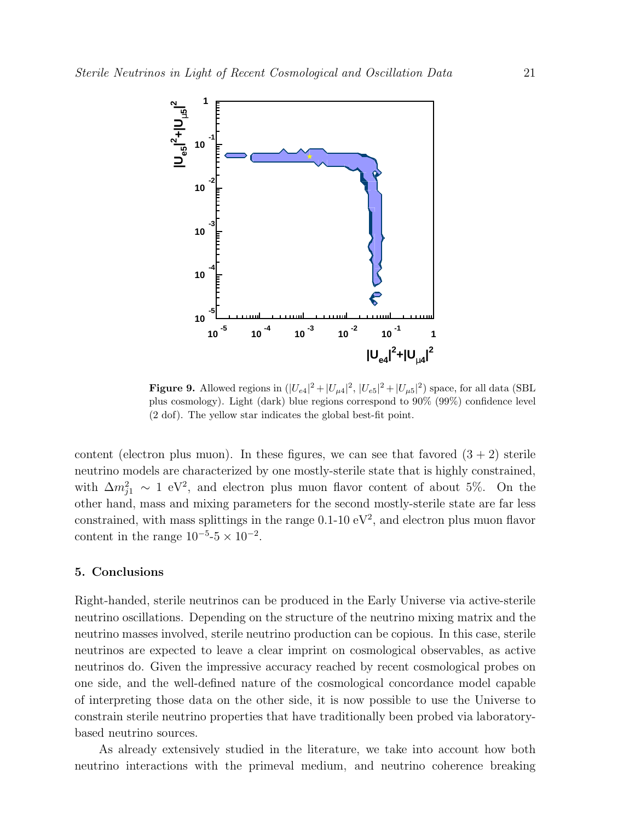

<span id="page-20-1"></span>**Figure 9.** Allowed regions in  $(|U_{e4}|^2 + |U_{\mu 4}|^2, |U_{e5}|^2 + |U_{\mu 5}|^2)$  space, for all data (SBL plus cosmology). Light (dark) blue regions correspond to 90% (99%) confidence level (2 dof). The yellow star indicates the global best-fit point.

content (electron plus muon). In these figures, we can see that favored  $(3 + 2)$  sterile neutrino models are characterized by one mostly-sterile state that is highly constrained, with  $\Delta m_{j1}^2 \sim 1 \text{ eV}^2$ , and electron plus muon flavor content of about 5%. On the other hand, mass and mixing parameters for the second mostly-sterile state are far less constrained, with mass splittings in the range  $0.1{\text -}10 \text{ eV}^2$ , and electron plus muon flavor content in the range  $10^{-5}$ -5 ×  $10^{-2}$ .

#### <span id="page-20-0"></span>5. Conclusions

Right-handed, sterile neutrinos can be produced in the Early Universe via active-sterile neutrino oscillations. Depending on the structure of the neutrino mixing matrix and the neutrino masses involved, sterile neutrino production can be copious. In this case, sterile neutrinos are expected to leave a clear imprint on cosmological observables, as active neutrinos do. Given the impressive accuracy reached by recent cosmological probes on one side, and the well-defined nature of the cosmological concordance model capable of interpreting those data on the other side, it is now possible to use the Universe to constrain sterile neutrino properties that have traditionally been probed via laboratorybased neutrino sources.

As already extensively studied in the literature, we take into account how both neutrino interactions with the primeval medium, and neutrino coherence breaking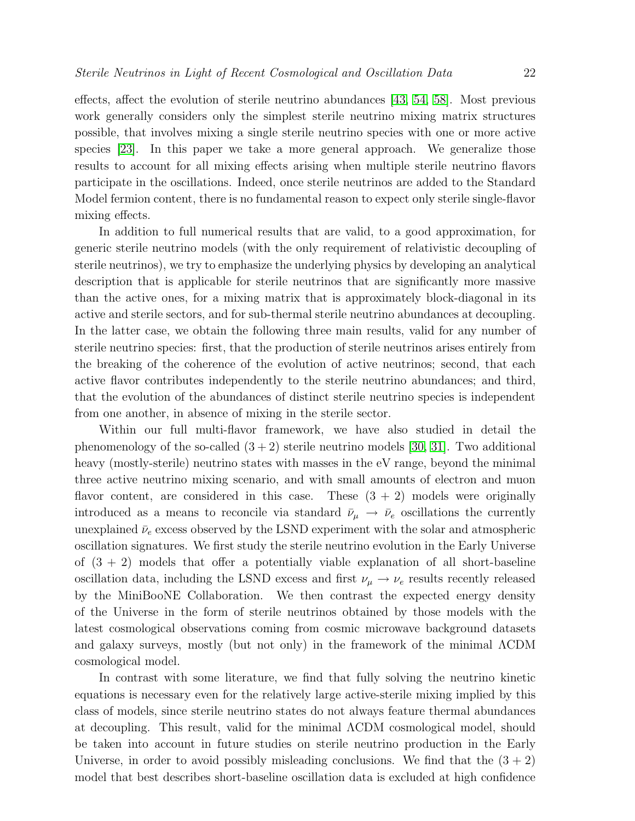effects, affect the evolution of sterile neutrino abundances [\[43,](#page-25-18) [54,](#page-26-7) [58\]](#page-26-11). Most previous work generally considers only the simplest sterile neutrino mixing matrix structures possible, that involves mixing a single sterile neutrino species with one or more active species [\[23\]](#page-24-4). In this paper we take a more general approach. We generalize those results to account for all mixing effects arising when multiple sterile neutrino flavors participate in the oscillations. Indeed, once sterile neutrinos are added to the Standard Model fermion content, there is no fundamental reason to expect only sterile single-flavor mixing effects.

In addition to full numerical results that are valid, to a good approximation, for generic sterile neutrino models (with the only requirement of relativistic decoupling of sterile neutrinos), we try to emphasize the underlying physics by developing an analytical description that is applicable for sterile neutrinos that are significantly more massive than the active ones, for a mixing matrix that is approximately block-diagonal in its active and sterile sectors, and for sub-thermal sterile neutrino abundances at decoupling. In the latter case, we obtain the following three main results, valid for any number of sterile neutrino species: first, that the production of sterile neutrinos arises entirely from the breaking of the coherence of the evolution of active neutrinos; second, that each active flavor contributes independently to the sterile neutrino abundances; and third, that the evolution of the abundances of distinct sterile neutrino species is independent from one another, in absence of mixing in the sterile sector.

Within our full multi-flavor framework, we have also studied in detail the phenomenology of the so-called  $(3 + 2)$  sterile neutrino models [\[30,](#page-25-5) [31\]](#page-25-6). Two additional heavy (mostly-sterile) neutrino states with masses in the eV range, beyond the minimal three active neutrino mixing scenario, and with small amounts of electron and muon flavor content, are considered in this case. These  $(3 + 2)$  models were originally introduced as a means to reconcile via standard  $\bar{\nu}_{\mu} \rightarrow \bar{\nu}_{e}$  oscillations the currently unexplained  $\bar{\nu}_e$  excess observed by the LSND experiment with the solar and atmospheric oscillation signatures. We first study the sterile neutrino evolution in the Early Universe of  $(3 + 2)$  models that offer a potentially viable explanation of all short-baseline oscillation data, including the LSND excess and first  $\nu_{\mu} \rightarrow \nu_{e}$  results recently released by the MiniBooNE Collaboration. We then contrast the expected energy density of the Universe in the form of sterile neutrinos obtained by those models with the latest cosmological observations coming from cosmic microwave background datasets and galaxy surveys, mostly (but not only) in the framework of the minimal ΛCDM cosmological model.

In contrast with some literature, we find that fully solving the neutrino kinetic equations is necessary even for the relatively large active-sterile mixing implied by this class of models, since sterile neutrino states do not always feature thermal abundances at decoupling. This result, valid for the minimal ΛCDM cosmological model, should be taken into account in future studies on sterile neutrino production in the Early Universe, in order to avoid possibly misleading conclusions. We find that the  $(3 + 2)$ model that best describes short-baseline oscillation data is excluded at high confidence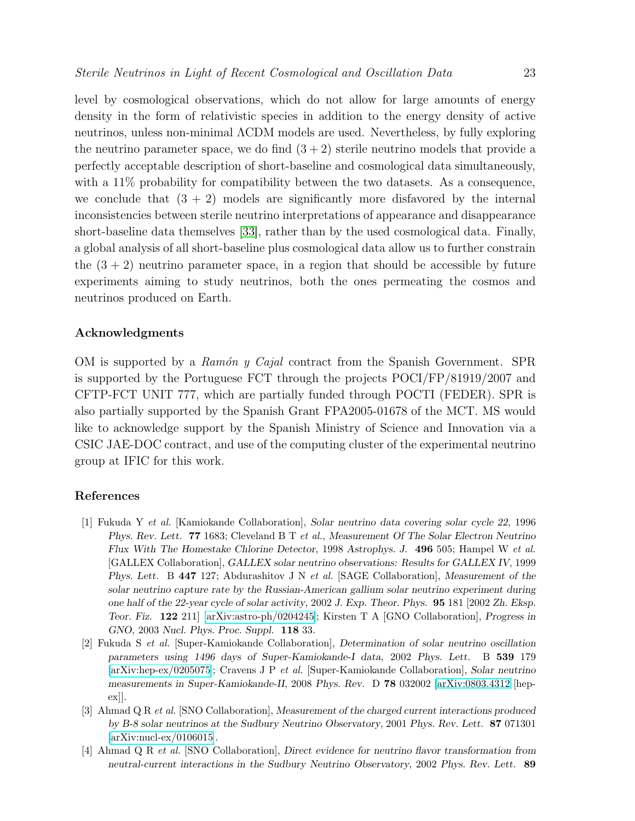level by cosmological observations, which do not allow for large amounts of energy density in the form of relativistic species in addition to the energy density of active neutrinos, unless non-minimal ΛCDM models are used. Nevertheless, by fully exploring the neutrino parameter space, we do find  $(3+2)$  sterile neutrino models that provide a perfectly acceptable description of short-baseline and cosmological data simultaneously, with a 11% probability for compatibility between the two datasets. As a consequence, we conclude that  $(3 + 2)$  models are significantly more disfavored by the internal inconsistencies between sterile neutrino interpretations of appearance and disappearance short-baseline data themselves [\[33\]](#page-25-8), rather than by the used cosmological data. Finally, a global analysis of all short-baseline plus cosmological data allow us to further constrain the  $(3 + 2)$  neutrino parameter space, in a region that should be accessible by future experiments aiming to study neutrinos, both the ones permeating the cosmos and neutrinos produced on Earth.

## Acknowledgments

OM is supported by a Ramón y Cajal contract from the Spanish Government. SPR is supported by the Portuguese FCT through the projects POCI/FP/81919/2007 and CFTP-FCT UNIT 777, which are partially funded through POCTI (FEDER). SPR is also partially supported by the Spanish Grant FPA2005-01678 of the MCT. MS would like to acknowledge support by the Spanish Ministry of Science and Innovation via a CSIC JAE-DOC contract, and use of the computing cluster of the experimental neutrino group at IFIC for this work.

## <span id="page-22-0"></span>References

- [1] Fukuda Y et al. [Kamiokande Collaboration], *Solar neutrino data covering solar cycle 22*, 1996 *Phys. Rev. Lett.* 77 1683; Cleveland B T et al., *Measurement Of The Solar Electron Neutrino Flux With The Homestake Chlorine Detector*, 1998 *Astrophys. J.* 496 505; Hampel W et al. [GALLEX Collaboration], *GALLEX solar neutrino observations: Results for GALLEX IV*, 1999 *Phys. Lett.* B 447 127; Abdurashitov J N et al. [SAGE Collaboration], *Measurement of the solar neutrino capture rate by the Russian-American gallium solar neutrino experiment during one half of the 22-year cycle of solar activity*, 2002 *J. Exp. Theor. Phys.* 95 181 [2002 *Zh. Eksp. Teor. Fiz.* 122 211] [\[arXiv:astro-ph/0204245\]](http://arXiv.org/abs/astro-ph/0204245); Kirsten T A [GNO Collaboration], *Progress in GNO*, 2003 *Nucl. Phys. Proc. Suppl.* 118 33.
- <span id="page-22-1"></span>[2] Fukuda S et al. [Super-Kamiokande Collaboration], *Determination of solar neutrino oscillation parameters using 1496 days of Super-Kamiokande-I data*, 2002 *Phys. Lett.* B 539 179 [\[arXiv:hep-ex/0205075\]](http://arXiv.org/abs/hep-ex/0205075); Cravens J P et al. [Super-Kamiokande Collaboration], *Solar neutrino measurements in Super-Kamiokande-II*, 2008 *Phys. Rev.* D 78 032002 [\[arXiv:0803.4312](http://arXiv.org/abs/0803.4312) [hepex]].
- <span id="page-22-2"></span>[3] Ahmad Q R et al. [SNO Collaboration], *Measurement of the charged current interactions produced by B-8 solar neutrinos at the Sudbury Neutrino Observatory*, 2001 *Phys. Rev. Lett.* 87 071301 [\[arXiv:nucl-ex/0106015\]](http://arXiv.org/abs/nucl-ex/0106015).
- <span id="page-22-3"></span>[4] Ahmad Q R et al. [SNO Collaboration], *Direct evidence for neutrino flavor transformation from neutral-current interactions in the Sudbury Neutrino Observatory*, 2002 *Phys. Rev. Lett.* 89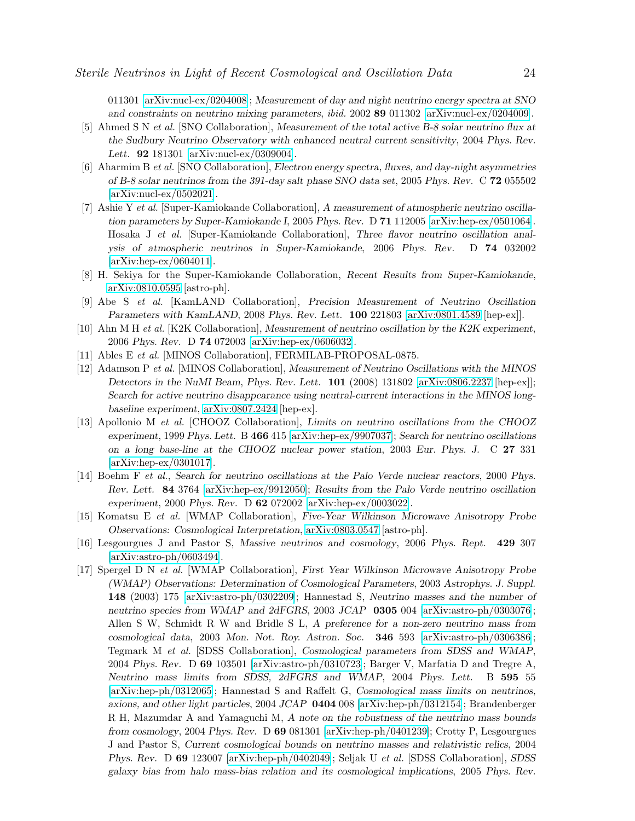011301 [\[arXiv:nucl-ex/0204008\]](http://arXiv.org/abs/nucl-ex/0204008); *Measurement of day and night neutrino energy spectra at SNO and constraints on neutrino mixing parameters*, ibid. 2002 89 011302 [\[arXiv:nucl-ex/0204009\]](http://arXiv.org/abs/nucl-ex/0204009).

- <span id="page-23-0"></span>[5] Ahmed S N et al. [SNO Collaboration], *Measurement of the total active B-8 solar neutrino flux at the Sudbury Neutrino Observatory with enhanced neutral current sensitivity*, 2004 *Phys. Rev. Lett.* 92 181301 [\[arXiv:nucl-ex/0309004\]](http://arXiv.org/abs/nucl-ex/0309004).
- <span id="page-23-1"></span>[6] Aharmim B et al. [SNO Collaboration], *Electron energy spectra, fluxes, and day-night asymmetries of B-8 solar neutrinos from the 391-day salt phase SNO data set*, 2005 *Phys. Rev.* C 72 055502 [\[arXiv:nucl-ex/0502021\]](http://arXiv.org/abs/nucl-ex/0502021).
- <span id="page-23-2"></span>[7] Ashie Y et al. [Super-Kamiokande Collaboration], *A measurement of atmospheric neutrino oscillation parameters by Super-Kamiokande I*, 2005 *Phys. Rev.* D 71 112005 [\[arXiv:hep-ex/0501064\]](http://arXiv.org/abs/hep-ex/0501064). Hosaka J et al. [Super-Kamiokande Collaboration], *Three flavor neutrino oscillation analysis of atmospheric neutrinos in Super-Kamiokande*, 2006 *Phys. Rev.* D 74 032002 [\[arXiv:hep-ex/0604011\]](http://arXiv.org/abs/hep-ex/0604011).
- <span id="page-23-4"></span><span id="page-23-3"></span>[8] H. Sekiya for the Super-Kamiokande Collaboration, *Recent Results from Super-Kamiokande*, [arXiv:0810.0595](http://arXiv.org/abs/0810.0595) [astro-ph].
- <span id="page-23-5"></span>[9] Abe S et al. [KamLAND Collaboration], *Precision Measurement of Neutrino Oscillation Parameters with KamLAND*, 2008 *Phys. Rev. Lett.* 100 221803 [\[arXiv:0801.4589](http://arXiv.org/abs/0801.4589) [hep-ex]].
- [10] Ahn M H et al. [K2K Collaboration], *Measurement of neutrino oscillation by the K2K experiment*, 2006 *Phys. Rev.* D 74 072003 [\[arXiv:hep-ex/0606032\]](http://arXiv.org/abs/hep-ex/0606032).
- <span id="page-23-7"></span><span id="page-23-6"></span>[11] Ables E et al. [MINOS Collaboration], FERMILAB-PROPOSAL-0875.
- [12] Adamson P et al. [MINOS Collaboration], *Measurement of Neutrino Oscillations with the MINOS Detectors in the NuMI Beam*, *Phys. Rev. Lett.* 101 (2008) 131802 [\[arXiv:0806.2237](http://arXiv.org/abs/0806.2237) [hep-ex]]; *Search for active neutrino disappearance using neutral-current interactions in the MINOS longbaseline experiment*, [arXiv:0807.2424](http://arXiv.org/abs/0807.2424) [hep-ex].
- <span id="page-23-8"></span>[13] Apollonio M et al. [CHOOZ Collaboration], *Limits on neutrino oscillations from the CHOOZ experiment*, 1999 *Phys. Lett.* B 466 415 [\[arXiv:hep-ex/9907037\]](http://arXiv.org/abs/hep-ex/9907037); *Search for neutrino oscillations on a long base-line at the CHOOZ nuclear power station*, 2003 *Eur. Phys. J.* C 27 331 [\[arXiv:hep-ex/0301017\]](http://arXiv.org/abs/hep-ex/0301017).
- <span id="page-23-9"></span>[14] Boehm F et al., *Search for neutrino oscillations at the Palo Verde nuclear reactors*, 2000 *Phys. Rev. Lett.* 84 3764 [\[arXiv:hep-ex/9912050\]](http://arXiv.org/abs/hep-ex/9912050); *Results from the Palo Verde neutrino oscillation experiment*, 2000 *Phys. Rev.* D 62 072002 [\[arXiv:hep-ex/0003022\]](http://arXiv.org/abs/hep-ex/0003022).
- <span id="page-23-10"></span>[15] Komatsu E et al. [WMAP Collaboration], *Five-Year Wilkinson Microwave Anisotropy Probe Observations: Cosmological Interpretation*, [arXiv:0803.0547](http://arXiv.org/abs/0803.0547) [astro-ph].
- <span id="page-23-11"></span>[16] Lesgourgues J and Pastor S, *Massive neutrinos and cosmology*, 2006 *Phys. Rept.* 429 307 [\[arXiv:astro-ph/0603494\]](http://arXiv.org/abs/astro-ph/0603494).
- <span id="page-23-12"></span>[17] Spergel D N et al. [WMAP Collaboration], *First Year Wilkinson Microwave Anisotropy Probe (WMAP) Observations: Determination of Cosmological Parameters*, 2003 *Astrophys. J. Suppl.* 148 (2003) 175 [\[arXiv:astro-ph/0302209\]](http://arXiv.org/abs/astro-ph/0302209); Hannestad S, *Neutrino masses and the number of neutrino species from WMAP and 2dFGRS*, 2003 *JCAP* 0305 004 [\[arXiv:astro-ph/0303076\]](http://arXiv.org/abs/astro-ph/0303076); Allen S W, Schmidt R W and Bridle S L, *A preference for a non-zero neutrino mass from cosmological data*, 2003 *Mon. Not. Roy. Astron. Soc.* 346 593 [\[arXiv:astro-ph/0306386\]](http://arXiv.org/abs/astro-ph/0306386); Tegmark M et al. [SDSS Collaboration], *Cosmological parameters from SDSS and WMAP*, 2004 *Phys. Rev.* D 69 103501 [\[arXiv:astro-ph/0310723\]](http://arXiv.org/abs/astro-ph/0310723); Barger V, Marfatia D and Tregre A, *Neutrino mass limits from SDSS, 2dFGRS and WMAP*, 2004 *Phys. Lett.* B 595 55 [\[arXiv:hep-ph/0312065\]](http://arXiv.org/abs/hep-ph/0312065); Hannestad S and Raffelt G, *Cosmological mass limits on neutrinos, axions, and other light particles*, 2004 *JCAP* 0404 008 [\[arXiv:hep-ph/0312154\]](http://arXiv.org/abs/hep-ph/0312154); Brandenberger R H, Mazumdar A and Yamaguchi M, *A note on the robustness of the neutrino mass bounds from cosmology*, 2004 *Phys. Rev.* D 69 081301 [\[arXiv:hep-ph/0401239\]](http://arXiv.org/abs/hep-ph/0401239); Crotty P, Lesgourgues J and Pastor S, *Current cosmological bounds on neutrino masses and relativistic relics*, 2004 *Phys. Rev.* D 69 123007 [\[arXiv:hep-ph/0402049\]](http://arXiv.org/abs/hep-ph/0402049); Seljak U et al. [SDSS Collaboration], *SDSS galaxy bias from halo mass-bias relation and its cosmological implications*, 2005 *Phys. Rev.*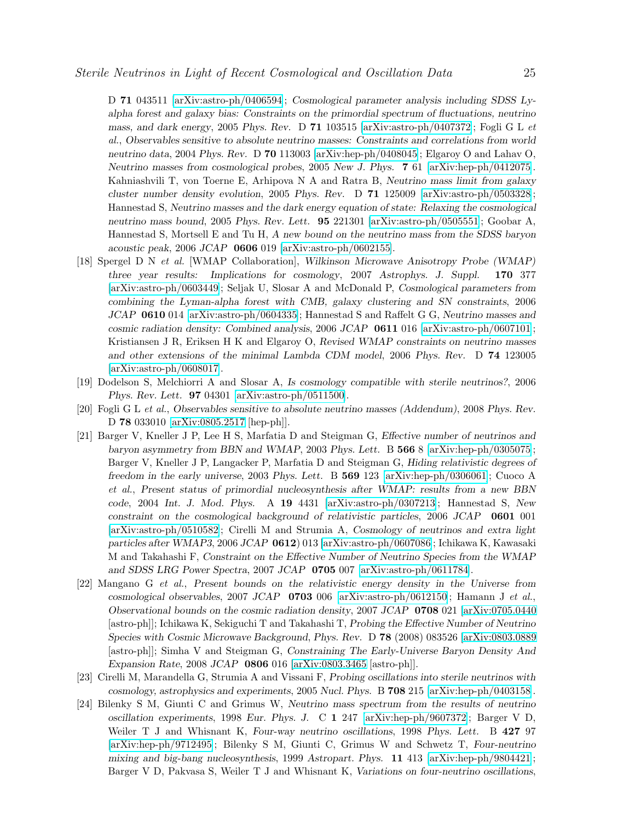D 71 043511 [\[arXiv:astro-ph/0406594\]](http://arXiv.org/abs/astro-ph/0406594); *Cosmological parameter analysis including SDSS Lyalpha forest and galaxy bias: Constraints on the primordial spectrum of fluctuations, neutrino mass, and dark energy*, 2005 *Phys. Rev.* D 71 103515 [\[arXiv:astro-ph/0407372\]](http://arXiv.org/abs/astro-ph/0407372); Fogli G L et al., *Observables sensitive to absolute neutrino masses: Constraints and correlations from world neutrino data*, 2004 *Phys. Rev.* D 70 113003 [\[arXiv:hep-ph/0408045\]](http://arXiv.org/abs/hep-ph/0408045); Elgaroy O and Lahav O, *Neutrino masses from cosmological probes*, 2005 *New J. Phys.* 7 61 [\[arXiv:hep-ph/0412075\]](http://arXiv.org/abs/hep-ph/0412075). Kahniashvili T, von Toerne E, Arhipova N A and Ratra B, *Neutrino mass limit from galaxy cluster number density evolution*, 2005 *Phys. Rev.* D 71 125009 [\[arXiv:astro-ph/0503328\]](http://arXiv.org/abs/astro-ph/0503328); Hannestad S, *Neutrino masses and the dark energy equation of state: Relaxing the cosmological neutrino mass bound*, 2005 *Phys. Rev. Lett.* 95 221301 [\[arXiv:astro-ph/0505551\]](http://arXiv.org/abs/astro-ph/0505551); Goobar A, Hannestad S, Mortsell E and Tu H, *A new bound on the neutrino mass from the SDSS baryon acoustic peak*, 2006 *JCAP* 0606 019 [\[arXiv:astro-ph/0602155\]](http://arXiv.org/abs/astro-ph/0602155).

- <span id="page-24-0"></span>[18] Spergel D N et al. [WMAP Collaboration], *Wilkinson Microwave Anisotropy Probe (WMAP) three year results: Implications for cosmology*, 2007 *Astrophys. J. Suppl.* 170 377 [\[arXiv:astro-ph/0603449\]](http://arXiv.org/abs/astro-ph/0603449); Seljak U, Slosar A and McDonald P, *Cosmological parameters from combining the Lyman-alpha forest with CMB, galaxy clustering and SN constraints*, 2006 *JCAP* 0610 014 [\[arXiv:astro-ph/0604335\]](http://arXiv.org/abs/astro-ph/0604335); Hannestad S and Raffelt G G, *Neutrino masses and cosmic radiation density: Combined analysis*, 2006 *JCAP* 0611 016 [\[arXiv:astro-ph/0607101\]](http://arXiv.org/abs/astro-ph/0607101); Kristiansen J R, Eriksen H K and Elgaroy O, *Revised WMAP constraints on neutrino masses and other extensions of the minimal Lambda CDM model*, 2006 *Phys. Rev.* D 74 123005 [\[arXiv:astro-ph/0608017\]](http://arXiv.org/abs/astro-ph/0608017).
- <span id="page-24-1"></span>[19] Dodelson S, Melchiorri A and Slosar A, *Is cosmology compatible with sterile neutrinos?*, 2006 *Phys. Rev. Lett.* 97 04301 [\[arXiv:astro-ph/0511500\]](http://arXiv.org/abs/astro-ph/0511500).
- <span id="page-24-2"></span>[20] Fogli G L et al., *Observables sensitive to absolute neutrino masses (Addendum)*, 2008 *Phys. Rev.* D 78 033010 [\[arXiv:0805.2517](http://arXiv.org/abs/0805.2517) [hep-ph]].
- [21] Barger V, Kneller J P, Lee H S, Marfatia D and Steigman G, *Effective number of neutrinos and baryon asymmetry from BBN and WMAP*, 2003 *Phys. Lett.* B 566 8 [\[arXiv:hep-ph/0305075\]](http://arXiv.org/abs/hep-ph/0305075); Barger V, Kneller J P, Langacker P, Marfatia D and Steigman G, *Hiding relativistic degrees of freedom in the early universe*, 2003 *Phys. Lett.* B 569 123 [\[arXiv:hep-ph/0306061\]](http://arXiv.org/abs/hep-ph/0306061); Cuoco A et al., *Present status of primordial nucleosynthesis after WMAP: results from a new BBN code*, 2004 *Int. J. Mod. Phys.* A 19 4431 [\[arXiv:astro-ph/0307213\]](http://arXiv.org/abs/astro-ph/0307213); Hannestad S, *New constraint on the cosmological background of relativistic particles*, 2006 *JCAP* 0601 001 [\[arXiv:astro-ph/0510582\]](http://arXiv.org/abs/astro-ph/0510582); Cirelli M and Strumia A, *Cosmology of neutrinos and extra light particles after WMAP3*, 2006 *JCAP* 0612) 013 [\[arXiv:astro-ph/0607086\]](http://arXiv.org/abs/astro-ph/0607086); Ichikawa K, Kawasaki M and Takahashi F, *Constraint on the Effective Number of Neutrino Species from the WMAP and SDSS LRG Power Spectra*, 2007 *JCAP* 0705 007 [\[arXiv:astro-ph/0611784\]](http://arXiv.org/abs/astro-ph/0611784).
- <span id="page-24-3"></span>[22] Mangano G et al., *Present bounds on the relativistic energy density in the Universe from cosmological observables*, 2007 *JCAP* 0703 006 [\[arXiv:astro-ph/0612150\]](http://arXiv.org/abs/astro-ph/0612150); Hamann J et al., *Observational bounds on the cosmic radiation density*, 2007 *JCAP* 0708 021 [\[arXiv:0705.0440](http://arXiv.org/abs/0705.0440) [astro-ph]]; Ichikawa K, Sekiguchi T and Takahashi T, *Probing the Effective Number of Neutrino Species with Cosmic Microwave Background*, *Phys. Rev.* D 78 (2008) 083526 [\[arXiv:0803.0889](http://arXiv.org/abs/0803.0889) [astro-ph]]; Simha V and Steigman G, *Constraining The Early-Universe Baryon Density And Expansion Rate*, 2008 *JCAP* 0806 016 [\[arXiv:0803.3465](http://arXiv.org/abs/0803.3465) [astro-ph]].
- <span id="page-24-4"></span>[23] Cirelli M, Marandella G, Strumia A and Vissani F, *Probing oscillations into sterile neutrinos with cosmology, astrophysics and experiments*, 2005 *Nucl. Phys.* B 708 215 [\[arXiv:hep-ph/0403158\]](http://arXiv.org/abs/hep-ph/0403158).
- <span id="page-24-5"></span>[24] Bilenky S M, Giunti C and Grimus W, *Neutrino mass spectrum from the results of neutrino oscillation experiments*, 1998 *Eur. Phys. J.* C 1 247 [\[arXiv:hep-ph/9607372\]](http://arXiv.org/abs/hep-ph/9607372); Barger V D, Weiler T J and Whisnant K, *Four-way neutrino oscillations*, 1998 *Phys. Lett.* B 427 97 [\[arXiv:hep-ph/9712495\]](http://arXiv.org/abs/hep-ph/9712495); Bilenky S M, Giunti C, Grimus W and Schwetz T, *Four-neutrino mixing and big-bang nucleosynthesis*, 1999 *Astropart. Phys.* 11 413 [\[arXiv:hep-ph/9804421\]](http://arXiv.org/abs/hep-ph/9804421); Barger V D, Pakvasa S, Weiler T J and Whisnant K, *Variations on four-neutrino oscillations*,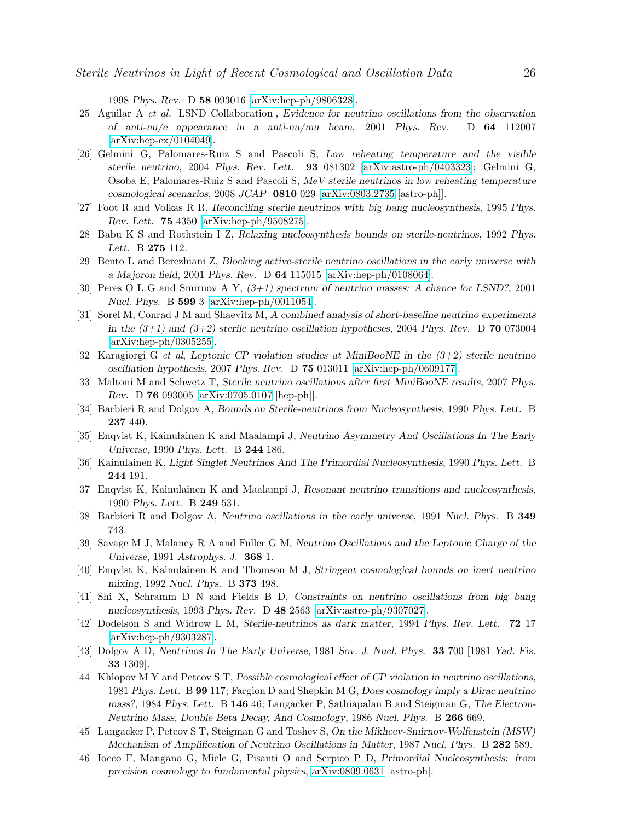1998 *Phys. Rev.* D 58 093016 [\[arXiv:hep-ph/9806328\]](http://arXiv.org/abs/hep-ph/9806328).

- <span id="page-25-0"></span>[25] Aguilar A et al. [LSND Collaboration], *Evidence for neutrino oscillations from the observation of anti-nu/e appearance in a anti-nu/mu beam*, 2001 *Phys. Rev.* D 64 112007 [\[arXiv:hep-ex/0104049\]](http://arXiv.org/abs/hep-ex/0104049).
- <span id="page-25-1"></span>[26] Gelmini G, Palomares-Ruiz S and Pascoli S, *Low reheating temperature and the visible sterile neutrino*, 2004 *Phys. Rev. Lett.* 93 081302 [\[arXiv:astro-ph/0403323\]](http://arXiv.org/abs/astro-ph/0403323); Gelmini G, Osoba E, Palomares-Ruiz S and Pascoli S, *MeV sterile neutrinos in low reheating temperature cosmological scenarios*, 2008 *JCAP* 0810 029 [\[arXiv:0803.2735](http://arXiv.org/abs/0803.2735) [astro-ph]].
- <span id="page-25-3"></span><span id="page-25-2"></span>[27] Foot R and Volkas R R, *Reconciling sterile neutrinos with big bang nucleosynthesis*, 1995 *Phys. Rev. Lett.* 75 4350 [\[arXiv:hep-ph/9508275\]](http://arXiv.org/abs/hep-ph/9508275).
- <span id="page-25-4"></span>[28] Babu K S and Rothstein I Z, *Relaxing nucleosynthesis bounds on sterile-neutrinos*, 1992 *Phys. Lett.* B 275 112.
- <span id="page-25-5"></span>[29] Bento L and Berezhiani Z, *Blocking active-sterile neutrino oscillations in the early universe with a Majoron field*, 2001 *Phys. Rev.* D 64 115015 [\[arXiv:hep-ph/0108064\]](http://arXiv.org/abs/hep-ph/0108064).
- <span id="page-25-6"></span>[30] Peres O L G and Smirnov A Y, *(3+1) spectrum of neutrino masses: A chance for LSND?*, 2001 *Nucl. Phys.* B 599 3 [\[arXiv:hep-ph/0011054\]](http://arXiv.org/abs/hep-ph/0011054).
- [31] Sorel M, Conrad J M and Shaevitz M, *A combined analysis of short-baseline neutrino experiments in the (3+1) and (3+2) sterile neutrino oscillation hypotheses*, 2004 *Phys. Rev.* D 70 073004 [\[arXiv:hep-ph/0305255\]](http://arXiv.org/abs/hep-ph/0305255).
- <span id="page-25-8"></span><span id="page-25-7"></span>[32] Karagiorgi G et al, *Leptonic CP violation studies at MiniBooNE in the (3+2) sterile neutrino oscillation hypothesis*, 2007 *Phys. Rev.* D 75 013011 [\[arXiv:hep-ph/0609177\]](http://arXiv.org/abs/hep-ph/0609177).
- [33] Maltoni M and Schwetz T, *Sterile neutrino oscillations after first MiniBooNE results*, 2007 *Phys. Rev.* D 76 093005 [\[arXiv:0705.0107](http://arXiv.org/abs/0705.0107) [hep-ph]].
- <span id="page-25-10"></span><span id="page-25-9"></span>[34] Barbieri R and Dolgov A, *Bounds on Sterile-neutrinos from Nucleosynthesis*, 1990 *Phys. Lett.* B 237 440.
- <span id="page-25-11"></span>[35] Enqvist K, Kainulainen K and Maalampi J, *Neutrino Asymmetry And Oscillations In The Early Universe*, 1990 *Phys. Lett.* B 244 186.
- <span id="page-25-12"></span>[36] Kainulainen K, *Light Singlet Neutrinos And The Primordial Nucleosynthesis*, 1990 *Phys. Lett.* B 244 191.
- <span id="page-25-13"></span>[37] Enqvist K, Kainulainen K and Maalampi J, *Resonant neutrino transitions and nucleosynthesis*, 1990 *Phys. Lett.* B 249 531.
- <span id="page-25-14"></span>[38] Barbieri R and Dolgov A, *Neutrino oscillations in the early universe*, 1991 *Nucl. Phys.* B 349 743.
- <span id="page-25-15"></span>[39] Savage M J, Malaney R A and Fuller G M, *Neutrino Oscillations and the Leptonic Charge of the Universe*, 1991 *Astrophys. J.* 368 1.
- <span id="page-25-16"></span>[40] Enqvist K, Kainulainen K and Thomson M J, *Stringent cosmological bounds on inert neutrino mixing*, 1992 *Nucl. Phys.* B 373 498.
- [41] Shi X, Schramm D N and Fields B D, *Constraints on neutrino oscillations from big bang nucleosynthesis*, 1993 *Phys. Rev.* D 48 2563 [\[arXiv:astro-ph/9307027\]](http://arXiv.org/abs/astro-ph/9307027).
- <span id="page-25-17"></span>[42] Dodelson S and Widrow L M, *Sterile-neutrinos as dark matter*, 1994 *Phys. Rev. Lett.* 72 17 [\[arXiv:hep-ph/9303287\]](http://arXiv.org/abs/hep-ph/9303287).
- <span id="page-25-18"></span>[43] Dolgov A D, *Neutrinos In The Early Universe*, 1981 *Sov. J. Nucl. Phys.* 33 700 [1981 *Yad. Fiz.* 33 1309].
- <span id="page-25-19"></span>[44] Khlopov M Y and Petcov S T, *Possible cosmological effect of CP violation in neutrino oscillations*, 1981 *Phys. Lett.* B 99 117; Fargion D and Shepkin M G, *Does cosmology imply a Dirac neutrino mass?*, 1984 *Phys. Lett.* B 146 46; Langacker P, Sathiapalan B and Steigman G, *The Electron-Neutrino Mass, Double Beta Decay, And Cosmology*, 1986 *Nucl. Phys.* B 266 669.
- <span id="page-25-20"></span>[45] Langacker P, Petcov S T, Steigman G and Toshev S, *On the Mikheev-Smirnov-Wolfenstein (MSW) Mechanism of Amplification of Neutrino Oscillations in Matter*, 1987 *Nucl. Phys.* B 282 589.
- <span id="page-25-21"></span>[46] Iocco F, Mangano G, Miele G, Pisanti O and Serpico P D, *Primordial Nucleosynthesis: from precision cosmology to fundamental physics*, [arXiv:0809.0631](http://arXiv.org/abs/0809.0631) [astro-ph].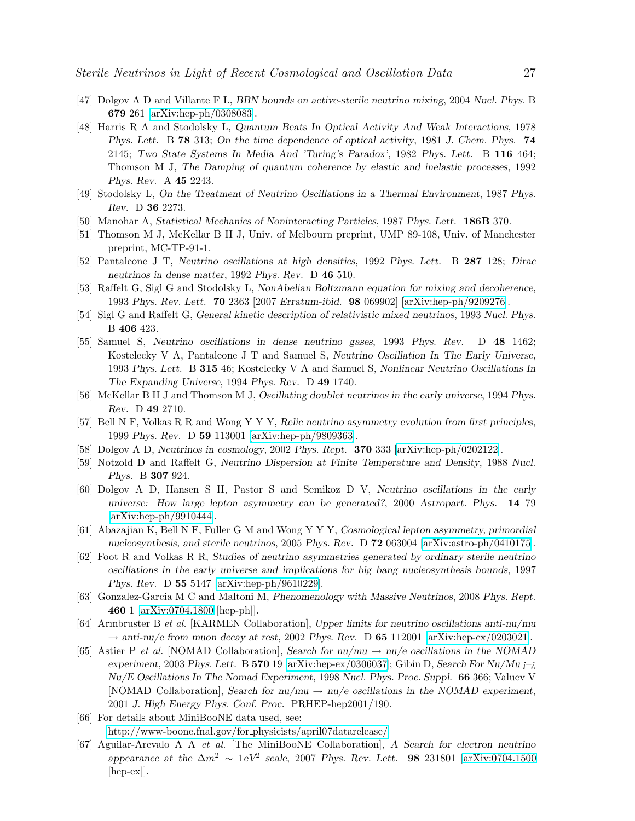- <span id="page-26-1"></span><span id="page-26-0"></span>[47] Dolgov A D and Villante F L, *BBN bounds on active-sterile neutrino mixing*, 2004 *Nucl. Phys.* B 679 261 [\[arXiv:hep-ph/0308083\]](http://arXiv.org/abs/hep-ph/0308083).
- [48] Harris R A and Stodolsky L, *Quantum Beats In Optical Activity And Weak Interactions*, 1978 *Phys. Lett.* B 78 313; *On the time dependence of optical activity*, 1981 *J. Chem. Phys.* 74 2145; *Two State Systems In Media And 'Turing's Paradox'*, 1982 *Phys. Lett.* B 116 464; Thomson M J, *The Damping of quantum coherence by elastic and inelastic processes*, 1992 *Phys. Rev.* A 45 2243.
- <span id="page-26-3"></span><span id="page-26-2"></span>[49] Stodolsky L, *On the Treatment of Neutrino Oscillations in a Thermal Environment*, 1987 *Phys. Rev.* D 36 2273.
- <span id="page-26-4"></span>[50] Manohar A, *Statistical Mechanics of Noninteracting Particles*, 1987 *Phys. Lett.* 186B 370.
- <span id="page-26-5"></span>[51] Thomson M J, McKellar B H J, Univ. of Melbourn preprint, UMP 89-108, Univ. of Manchester preprint, MC-TP-91-1.
- <span id="page-26-6"></span>[52] Pantaleone J T, *Neutrino oscillations at high densities*, 1992 *Phys. Lett.* B 287 128; *Dirac neutrinos in dense matter*, 1992 *Phys. Rev.* D 46 510.
- <span id="page-26-7"></span>[53] Raffelt G, Sigl G and Stodolsky L, *NonAbelian Boltzmann equation for mixing and decoherence*, 1993 *Phys. Rev. Lett.* 70 2363 [2007 *Erratum-ibid.* 98 069902] [\[arXiv:hep-ph/9209276\]](http://arXiv.org/abs/hep-ph/9209276).
- <span id="page-26-8"></span>[54] Sigl G and Raffelt G, *General kinetic description of relativistic mixed neutrinos*, 1993 *Nucl. Phys.* B 406 423.
- [55] Samuel S, *Neutrino oscillations in dense neutrino gases*, 1993 *Phys. Rev.* D 48 1462; Kostelecky V A, Pantaleone J T and Samuel S, *Neutrino Oscillation In The Early Universe*, 1993 *Phys. Lett.* B 315 46; Kostelecky V A and Samuel S, *Nonlinear Neutrino Oscillations In The Expanding Universe*, 1994 *Phys. Rev.* D 49 1740.
- <span id="page-26-10"></span><span id="page-26-9"></span>[56] McKellar B H J and Thomson M J, *Oscillating doublet neutrinos in the early universe*, 1994 *Phys. Rev.* D 49 2710.
- <span id="page-26-11"></span>[57] Bell N F, Volkas R R and Wong Y Y Y, *Relic neutrino asymmetry evolution from first principles*, 1999 *Phys. Rev.* D 59 113001 [\[arXiv:hep-ph/9809363\]](http://arXiv.org/abs/hep-ph/9809363).
- <span id="page-26-12"></span>[58] Dolgov A D, *Neutrinos in cosmology*, 2002 *Phys. Rept.* 370 333 [\[arXiv:hep-ph/0202122\]](http://arXiv.org/abs/hep-ph/0202122).
- <span id="page-26-13"></span>[59] Notzold D and Raffelt G, *Neutrino Dispersion at Finite Temperature and Density*, 1988 *Nucl. Phys.* B 307 924.
- [60] Dolgov A D, Hansen S H, Pastor S and Semikoz D V, *Neutrino oscillations in the early universe: How large lepton asymmetry can be generated?*, 2000 *Astropart. Phys.* 14 79 [\[arXiv:hep-ph/9910444\]](http://arXiv.org/abs/hep-ph/9910444).
- <span id="page-26-14"></span>[61] Abazajian K, Bell N F, Fuller G M and Wong Y Y Y, *Cosmological lepton asymmetry, primordial nucleosynthesis, and sterile neutrinos*, 2005 *Phys. Rev.* D 72 063004 [\[arXiv:astro-ph/0410175\]](http://arXiv.org/abs/astro-ph/0410175).
- <span id="page-26-15"></span>[62] Foot R and Volkas R R, *Studies of neutrino asymmetries generated by ordinary sterile neutrino oscillations in the early universe and implications for big bang nucleosynthesis bounds*, 1997 *Phys. Rev.* D 55 5147 [\[arXiv:hep-ph/9610229\]](http://arXiv.org/abs/hep-ph/9610229).
- <span id="page-26-16"></span>[63] Gonzalez-Garcia M C and Maltoni M, *Phenomenology with Massive Neutrinos*, 2008 *Phys. Rept.* 460 1 [\[arXiv:0704.1800](http://arXiv.org/abs/0704.1800) [hep-ph]].
- <span id="page-26-17"></span>[64] Armbruster B et al. [KARMEN Collaboration], *Upper limits for neutrino oscillations anti-nu/mu* → *anti-nu/e from muon decay at rest*, 2002 *Phys. Rev.* D 65 112001 [\[arXiv:hep-ex/0203021\]](http://arXiv.org/abs/hep-ex/0203021).
- <span id="page-26-18"></span>[65] Astier P et al. [NOMAD Collaboration], *Search for nu/mu* → *nu/e oscillations in the NOMAD experiment*, 2003 *Phys. Lett.* B 570 19 [\[arXiv:hep-ex/0306037\]](http://arXiv.org/abs/hep-ex/0306037); Gibin D, *Search For Nu/Mu ¡–¿ Nu/E Oscillations In The Nomad Experiment*, 1998 *Nucl. Phys. Proc. Suppl.* 66 366; Valuev V [NOMAD Collaboration], *Search for*  $\text{nu}/\text{mu} \rightarrow \text{nu}/e$  *oscillations in the NOMAD experiment*, 2001 *J. High Energy Phys. Conf. Proc.* PRHEP-hep2001/190.
- <span id="page-26-19"></span>[66] For details about MiniBooNE data used, see: [http://www-boone.fnal.gov/for](http://www-boone.fnal.gov/for_physicists/april07datarelease/) physicists/april07datarelease/
- <span id="page-26-20"></span>[67] Aguilar-Arevalo A A et al. [The MiniBooNE Collaboration], *A Search for electron neutrino appearance at the* <sup>∆</sup>m<sup>2</sup> <sup>∼</sup> <sup>1</sup>*eV*<sup>2</sup> *scale*, 2007 *Phys. Rev. Lett.* 98 231801 [\[arXiv:0704.1500](http://arXiv.org/abs/0704.1500) [hep-ex]].